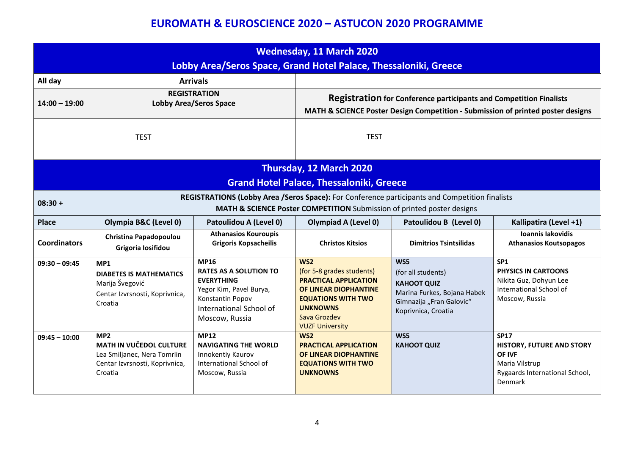|                     | <b>Wednesday, 11 March 2020</b><br>Lobby Area/Seros Space, Grand Hotel Palace, Thessaloniki, Greece                    |                                                                                                                                                               |                                                                                                                                                                                                 |                                                                                                                                                              |                                                                                                                   |  |  |
|---------------------|------------------------------------------------------------------------------------------------------------------------|---------------------------------------------------------------------------------------------------------------------------------------------------------------|-------------------------------------------------------------------------------------------------------------------------------------------------------------------------------------------------|--------------------------------------------------------------------------------------------------------------------------------------------------------------|-------------------------------------------------------------------------------------------------------------------|--|--|
| All day             |                                                                                                                        | <b>Arrivals</b>                                                                                                                                               |                                                                                                                                                                                                 |                                                                                                                                                              |                                                                                                                   |  |  |
| $14:00 - 19:00$     |                                                                                                                        | <b>REGISTRATION</b><br><b>Lobby Area/Seros Space</b>                                                                                                          |                                                                                                                                                                                                 | <b>Registration for Conference participants and Competition Finalists</b><br>MATH & SCIENCE Poster Design Competition - Submission of printed poster designs |                                                                                                                   |  |  |
|                     | <b>TEST</b>                                                                                                            |                                                                                                                                                               | <b>TEST</b>                                                                                                                                                                                     |                                                                                                                                                              |                                                                                                                   |  |  |
|                     | Thursday, 12 March 2020<br><b>Grand Hotel Palace, Thessaloniki, Greece</b>                                             |                                                                                                                                                               |                                                                                                                                                                                                 |                                                                                                                                                              |                                                                                                                   |  |  |
| $08:30 +$           |                                                                                                                        |                                                                                                                                                               | MATH & SCIENCE Poster COMPETITION Submission of printed poster designs                                                                                                                          | REGISTRATIONS (Lobby Area /Seros Space): For Conference participants and Competition finalists                                                               |                                                                                                                   |  |  |
| <b>Place</b>        | Olympia B&C (Level 0)                                                                                                  | Patoulidou A (Level 0)                                                                                                                                        | Olympiad A (Level 0)                                                                                                                                                                            | Patoulidou B (Level 0)                                                                                                                                       | Kallipatira (Level +1)                                                                                            |  |  |
| <b>Coordinators</b> | Christina Papadopoulou<br>Grigoria Iosifidou                                                                           | <b>Athanasios Kouroupis</b><br><b>Grigoris Kopsacheilis</b>                                                                                                   | <b>Christos Kitsios</b>                                                                                                                                                                         | <b>Dimitrios Tsintsilidas</b>                                                                                                                                | Ioannis Iakovidis<br><b>Athanasios Koutsopagos</b>                                                                |  |  |
| $09:30 - 09:45$     | MP <sub>1</sub><br><b>DIABETES IS MATHEMATICS</b><br>Marija Švegović<br>Centar Izvrsnosti, Koprivnica,<br>Croatia      | <b>MP16</b><br><b>RATES AS A SOLUTION TO</b><br><b>EVERYTHING</b><br>Yegor Kim, Pavel Burya,<br>Konstantin Popov<br>International School of<br>Moscow, Russia | WS <sub>2</sub><br>(for 5-8 grades students)<br><b>PRACTICAL APPLICATION</b><br>OF LINEAR DIOPHANTINE<br><b>EQUATIONS WITH TWO</b><br><b>UNKNOWNS</b><br>Sava Grozdev<br><b>VUZF University</b> | WS5<br>(for all students)<br><b>KAHOOT QUIZ</b><br>Marina Furkes, Bojana Habek<br>Gimnazija "Fran Galovic"<br>Koprivnica, Croatia                            | SP <sub>1</sub><br>PHYSICS IN CARTOONS<br>Nikita Guz, Dohyun Lee<br>International School of<br>Moscow, Russia     |  |  |
| $09:45 - 10:00$     | MP <sub>2</sub><br>MATH IN VUČEDOL CULTURE<br>Lea Smiljanec, Nera Tomrlin<br>Centar Izvrsnosti, Koprivnica,<br>Croatia | <b>MP12</b><br><b>NAVIGATING THE WORLD</b><br>Innokentiy Kaurov<br>International School of<br>Moscow, Russia                                                  | W <sub>S</sub> 2<br><b>PRACTICAL APPLICATION</b><br>OF LINEAR DIOPHANTINE<br><b>EQUATIONS WITH TWO</b><br><b>UNKNOWNS</b>                                                                       | WS5<br><b>KAHOOT QUIZ</b>                                                                                                                                    | <b>SP17</b><br>HISTORY, FUTURE AND STORY<br>OF IVF<br>Maria Vilstrup<br>Rygaards International School,<br>Denmark |  |  |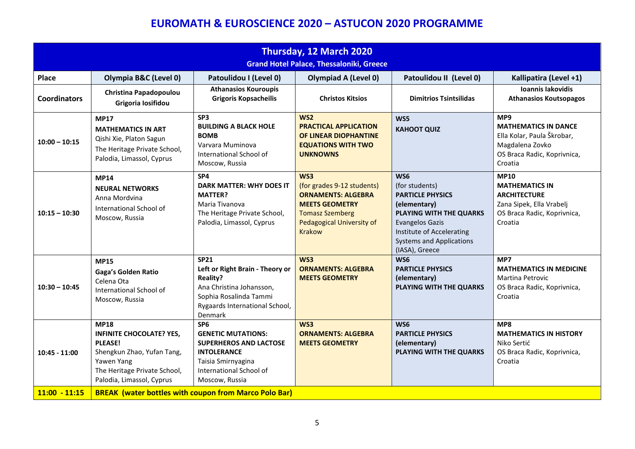| Thursday, 12 March 2020<br><b>Grand Hotel Palace, Thessaloniki, Greece</b> |                                                                                                                                                                           |                                                                                                                                                                        |                                                                                                                                                                 |                                                                                                                                                                                                         |                                                                                                                                   |  |
|----------------------------------------------------------------------------|---------------------------------------------------------------------------------------------------------------------------------------------------------------------------|------------------------------------------------------------------------------------------------------------------------------------------------------------------------|-----------------------------------------------------------------------------------------------------------------------------------------------------------------|---------------------------------------------------------------------------------------------------------------------------------------------------------------------------------------------------------|-----------------------------------------------------------------------------------------------------------------------------------|--|
| Place                                                                      | Olympia B&C (Level 0)                                                                                                                                                     | Patoulidou I (Level 0)                                                                                                                                                 | <b>Olympiad A (Level 0)</b>                                                                                                                                     | Patoulidou II (Level 0)                                                                                                                                                                                 | Kallipatira (Level +1)                                                                                                            |  |
| <b>Coordinators</b>                                                        | Christina Papadopoulou<br>Grigoria Iosifidou                                                                                                                              | <b>Athanasios Kouroupis</b><br><b>Grigoris Kopsacheilis</b>                                                                                                            | <b>Christos Kitsios</b>                                                                                                                                         | <b>Dimitrios Tsintsilidas</b>                                                                                                                                                                           | Ioannis lakovidis<br><b>Athanasios Koutsopagos</b>                                                                                |  |
| $10:00 - 10:15$                                                            | <b>MP17</b><br><b>MATHEMATICS IN ART</b><br>Qishi Xie, Platon Sagun<br>The Heritage Private School,<br>Palodia, Limassol, Cyprus                                          | SP <sub>3</sub><br><b>BUILDING A BLACK HOLE</b><br><b>BOMB</b><br>Varvara Muminova<br>International School of<br>Moscow, Russia                                        | WS <sub>2</sub><br><b>PRACTICAL APPLICATION</b><br>OF LINEAR DIOPHANTINE<br><b>EQUATIONS WITH TWO</b><br><b>UNKNOWNS</b>                                        | WS5<br><b>KAHOOT QUIZ</b>                                                                                                                                                                               | MP9<br><b>MATHEMATICS IN DANCE</b><br>Ella Kolar, Paula Škrobar,<br>Magdalena Zovko<br>OS Braca Radic, Koprivnica,<br>Croatia     |  |
| $10:15 - 10:30$                                                            | <b>MP14</b><br><b>NEURAL NETWORKS</b><br>Anna Mordvina<br>International School of<br>Moscow, Russia                                                                       | SP4<br><b>DARK MATTER: WHY DOES IT</b><br><b>MATTER?</b><br>Maria Tivanova<br>The Heritage Private School,<br>Palodia, Limassol, Cyprus                                | WS3<br>(for grades 9-12 students)<br><b>ORNAMENTS: ALGEBRA</b><br><b>MEETS GEOMETRY</b><br><b>Tomasz Szemberg</b><br>Pedagogical University of<br><b>Krakow</b> | WS6<br>(for students)<br><b>PARTICLE PHYSICS</b><br>(elementary)<br>PLAYING WITH THE QUARKS<br><b>Evangelos Gazis</b><br>Institute of Accelerating<br><b>Systems and Applications</b><br>(IASA), Greece | <b>MP10</b><br><b>MATHEMATICS IN</b><br><b>ARCHITECTURE</b><br>Zana Sipek, Ella Vrabelj<br>OS Braca Radic, Koprivnica,<br>Croatia |  |
| $10:30 - 10:45$                                                            | <b>MP15</b><br>Gaga's Golden Ratio<br>Celena Ota<br>International School of<br>Moscow, Russia                                                                             | <b>SP21</b><br>Left or Right Brain - Theory or<br><b>Reality?</b><br>Ana Christina Johansson,<br>Sophia Rosalinda Tammi<br>Rygaards International School,<br>Denmark   | WS3<br><b>ORNAMENTS: ALGEBRA</b><br><b>MEETS GEOMETRY</b>                                                                                                       | WS6<br><b>PARTICLE PHYSICS</b><br>(elementary)<br>PLAYING WITH THE QUARKS                                                                                                                               | MP7<br><b>MATHEMATICS IN MEDICINE</b><br>Martina Petrovic<br>OS Braca Radic, Koprivnica,<br>Croatia                               |  |
| $10:45 - 11:00$                                                            | <b>MP18</b><br><b>INFINITE CHOCOLATE? YES,</b><br><b>PLEASE!</b><br>Shengkun Zhao, Yufan Tang,<br>Yawen Yang<br>The Heritage Private School,<br>Palodia, Limassol, Cyprus | SP <sub>6</sub><br><b>GENETIC MUTATIONS:</b><br><b>SUPERHEROS AND LACTOSE</b><br><b>INTOLERANCE</b><br>Taisia Smirnyagina<br>International School of<br>Moscow, Russia | WS3<br><b>ORNAMENTS: ALGEBRA</b><br><b>MEETS GEOMETRY</b>                                                                                                       | WS6<br><b>PARTICLE PHYSICS</b><br>(elementary)<br>PLAYING WITH THE QUARKS                                                                                                                               | MP8<br><b>MATHEMATICS IN HISTORY</b><br>Niko Sertić<br>OS Braca Radic, Koprivnica,<br>Croatia                                     |  |
| $11:00 - 11:15$                                                            |                                                                                                                                                                           | <b>BREAK (water bottles with coupon from Marco Polo Bar)</b>                                                                                                           |                                                                                                                                                                 |                                                                                                                                                                                                         |                                                                                                                                   |  |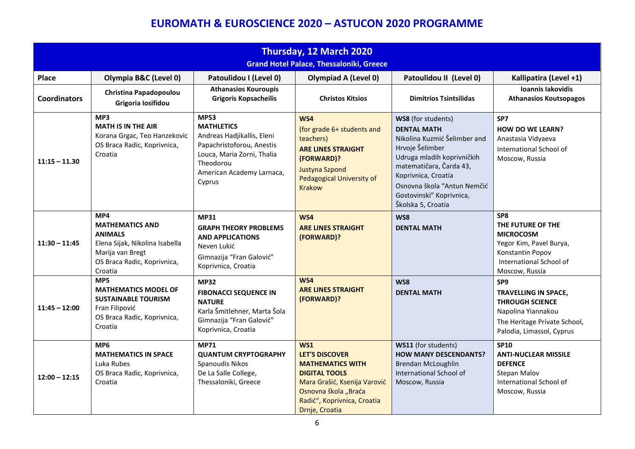| Thursday, 12 March 2020<br><b>Grand Hotel Palace, Thessaloniki, Greece</b> |                                                                                                                                                 |                                                                                                                                                                               |                                                                                                                                                                                          |                                                                                                                                                                                                                                                                     |                                                                                                                                                      |  |
|----------------------------------------------------------------------------|-------------------------------------------------------------------------------------------------------------------------------------------------|-------------------------------------------------------------------------------------------------------------------------------------------------------------------------------|------------------------------------------------------------------------------------------------------------------------------------------------------------------------------------------|---------------------------------------------------------------------------------------------------------------------------------------------------------------------------------------------------------------------------------------------------------------------|------------------------------------------------------------------------------------------------------------------------------------------------------|--|
| <b>Place</b>                                                               | Olympia B&C (Level 0)                                                                                                                           | Patoulidou I (Level 0)                                                                                                                                                        | Olympiad A (Level 0)                                                                                                                                                                     | Patoulidou II (Level 0)                                                                                                                                                                                                                                             | Kallipatira (Level +1)                                                                                                                               |  |
| <b>Coordinators</b>                                                        | Christina Papadopoulou<br>Grigoria Iosifidou                                                                                                    | <b>Athanasios Kouroupis</b><br><b>Grigoris Kopsacheilis</b>                                                                                                                   | <b>Christos Kitsios</b>                                                                                                                                                                  | <b>Dimitrios Tsintsilidas</b>                                                                                                                                                                                                                                       | Ioannis Iakovidis<br><b>Athanasios Koutsopagos</b>                                                                                                   |  |
| $11:15 - 11.30$                                                            | MP3<br><b>MATH IS IN THE AIR</b><br>Korana Grgac, Teo Hanzekovic<br>OS Braca Radic, Koprivnica,<br>Croatia                                      | <b>MP53</b><br><b>MATHLETICS</b><br>Andreas Hadjikallis, Eleni<br>Papachristoforou, Anestis<br>Louca, Maria Zorni, Thalia<br>Theodorou<br>American Academy Larnaca,<br>Cyprus | WS4<br>(for grade 6+ students and<br>teachers)<br><b>ARE LINES STRAIGHT</b><br>(FORWARD)?<br><b>Justyna Szpond</b><br>Pedagogical University of<br><b>Krakow</b>                         | <b>WS8</b> (for students)<br><b>DENTAL MATH</b><br>Nikolina Kuzmić Šelimber and<br>Hrvoje Šelimber<br>Udruga mladih koprivničkih<br>matematičara, Čarda 43,<br>Koprivnica, Croatia<br>Osnovna škola "Antun Nemčić<br>Gostovinski" Koprivnica,<br>Školska 5, Croatia | SP7<br><b>HOW DO WE LEARN?</b><br>Anastasia Vidyaeva<br>International School of<br>Moscow, Russia                                                    |  |
| $11:30 - 11:45$                                                            | MP4<br><b>MATHEMATICS AND</b><br><b>ANIMALS</b><br>Elena Sijak, Nikolina Isabella<br>Marija van Bregt<br>OS Braca Radic, Koprivnica,<br>Croatia | <b>MP31</b><br><b>GRAPH THEORY PROBLEMS</b><br><b>AND APPLICATIONS</b><br>Neven Lukić<br>Gimnazija "Fran Galović"<br>Koprivnica, Croatia                                      | WS4<br><b>ARE LINES STRAIGHT</b><br>(FORWARD)?                                                                                                                                           | WS8<br><b>DENTAL MATH</b>                                                                                                                                                                                                                                           | SP <sub>8</sub><br>THE FUTURE OF THE<br><b>MICROCOSM</b><br>Yegor Kim, Pavel Burya,<br>Konstantin Popov<br>International School of<br>Moscow, Russia |  |
| $11:45 - 12:00$                                                            | MP5<br><b>MATHEMATICS MODEL OF</b><br><b>SUSTAINABLE TOURISM</b><br>Fran Filipović<br>OS Braca Radic, Koprivnica,<br>Croatia                    | <b>MP32</b><br><b>FIBONACCI SEQUENCE IN</b><br><b>NATURE</b><br>Karla Šmitlehner, Marta Šola<br>Gimnazija "Fran Galović"<br>Koprivnica, Croatia                               | WS4<br><b>ARE LINES STRAIGHT</b><br>(FORWARD)?                                                                                                                                           | WS8<br><b>DENTAL MATH</b>                                                                                                                                                                                                                                           | SP9<br><b>TRAVELLING IN SPACE,</b><br><b>THROUGH SCIENCE</b><br>Napolina Yiannakou<br>The Heritage Private School,<br>Palodia, Limassol, Cyprus      |  |
| $12:00 - 12:15$                                                            | MP <sub>6</sub><br><b>MATHEMATICS IN SPACE</b><br>Luka Rubes<br>OS Braca Radic, Koprivnica,<br>Croatia                                          | <b>MP71</b><br><b>QUANTUM CRYPTOGRAPHY</b><br>Spanoudis Nikos<br>De La Salle College,<br>Thessaloniki, Greece                                                                 | WS1<br><b>LET'S DISCOVER</b><br><b>MATHEMATICS WITH</b><br><b>DIGITAL TOOLS</b><br>Mara Grašić, Ksenija Varović<br>Osnovna škola "Braća<br>Radić", Koprivnica, Croatia<br>Drnje, Croatia | WS11 (for students)<br><b>HOW MANY DESCENDANTS?</b><br><b>Brendan McLoughlin</b><br>International School of<br>Moscow, Russia                                                                                                                                       | <b>SP10</b><br><b>ANTI-NUCLEAR MISSILE</b><br><b>DEFENCE</b><br>Stepan Malov<br>International School of<br>Moscow, Russia                            |  |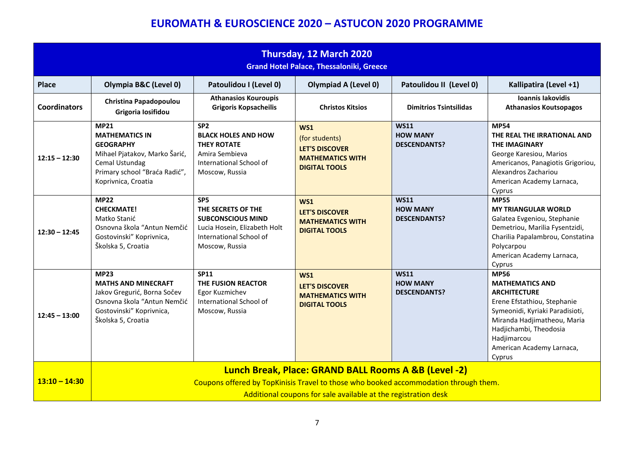| Thursday, 12 March 2020<br><b>Grand Hotel Palace, Thessaloniki, Greece</b> |                                                                                                                                                                     |                                                                                                                                                |                                                                                                                        |                                                       |                                                                                                                                                                                                                                               |  |  |
|----------------------------------------------------------------------------|---------------------------------------------------------------------------------------------------------------------------------------------------------------------|------------------------------------------------------------------------------------------------------------------------------------------------|------------------------------------------------------------------------------------------------------------------------|-------------------------------------------------------|-----------------------------------------------------------------------------------------------------------------------------------------------------------------------------------------------------------------------------------------------|--|--|
| <b>Place</b>                                                               | Olympia B&C (Level 0)                                                                                                                                               | Patoulidou I (Level 0)                                                                                                                         | <b>Olympiad A (Level 0)</b>                                                                                            | Patoulidou II (Level 0)                               | Kallipatira (Level +1)                                                                                                                                                                                                                        |  |  |
| <b>Coordinators</b>                                                        | Christina Papadopoulou<br>Grigoria Iosifidou                                                                                                                        | <b>Athanasios Kouroupis</b><br><b>Grigoris Kopsacheilis</b>                                                                                    | <b>Christos Kitsios</b>                                                                                                | <b>Dimitrios Tsintsilidas</b>                         | Ioannis Iakovidis<br><b>Athanasios Koutsopagos</b>                                                                                                                                                                                            |  |  |
| $12:15 - 12:30$                                                            | <b>MP21</b><br><b>MATHEMATICS IN</b><br><b>GEOGRAPHY</b><br>Mihael Pjatakov, Marko Šarić,<br>Cemal Ustundag<br>Primary school "Braća Radić",<br>Koprivnica, Croatia | SP <sub>2</sub><br><b>BLACK HOLES AND HOW</b><br><b>THEY ROTATE</b><br>Amira Sembieva<br>International School of<br>Moscow, Russia             | <b>WS1</b><br>(for students)<br><b>LET'S DISCOVER</b><br><b>MATHEMATICS WITH</b><br><b>DIGITAL TOOLS</b>               | <b>WS11</b><br><b>HOW MANY</b><br><b>DESCENDANTS?</b> | <b>MP54</b><br>THE REAL THE IRRATIONAL AND<br><b>THE IMAGINARY</b><br>George Karesiou, Marios<br>Americanos, Panagiotis Grigoriou,<br>Alexandros Zachariou<br>American Academy Larnaca,<br>Cyprus                                             |  |  |
| $12:30 - 12:45$                                                            | <b>MP22</b><br><b>CHECKMATE!</b><br>Matko Stanić<br>Osnovna škola "Antun Nemčić<br>Gostovinski" Koprivnica,<br>Školska 5, Croatia                                   | SP <sub>5</sub><br>THE SECRETS OF THE<br><b>SUBCONSCIOUS MIND</b><br>Lucia Hosein, Elizabeth Holt<br>International School of<br>Moscow, Russia | WS1<br><b>LET'S DISCOVER</b><br><b>MATHEMATICS WITH</b><br><b>DIGITAL TOOLS</b>                                        | <b>WS11</b><br><b>HOW MANY</b><br><b>DESCENDANTS?</b> | <b>MP55</b><br><b>MY TRIANGULAR WORLD</b><br>Galatea Evgeniou, Stephanie<br>Demetriou, Marilia Fysentzidi,<br>Charilia Papalambrou, Constatina<br>Polycarpou<br>American Academy Larnaca,<br>Cyprus                                           |  |  |
| $12:45 - 13:00$                                                            | <b>MP23</b><br><b>MATHS AND MINECRAFT</b><br>Jakov Gregurić, Borna Sočev<br>Osnovna škola "Antun Nemčić<br>Gostovinski" Koprivnica,<br>Školska 5, Croatia           | <b>SP11</b><br>THE FUSION REACTOR<br>Egor Kuzmichev<br>International School of<br>Moscow, Russia                                               | WS1<br><b>LET'S DISCOVER</b><br><b>MATHEMATICS WITH</b><br><b>DIGITAL TOOLS</b>                                        | <b>WS11</b><br><b>HOW MANY</b><br><b>DESCENDANTS?</b> | <b>MP56</b><br><b>MATHEMATICS AND</b><br><b>ARCHITECTURE</b><br>Erene Efstathiou, Stephanie<br>Symeonidi, Kyriaki Paradisioti,<br>Miranda Hadjimatheou, Maria<br>Hadjichambi, Theodosia<br>Hadjimarcou<br>American Academy Larnaca,<br>Cyprus |  |  |
| $13:10 - 14:30$                                                            |                                                                                                                                                                     | Coupons offered by TopKinisis Travel to those who booked accommodation through them.                                                           | Lunch Break, Place: GRAND BALL Rooms A &B (Level -2)<br>Additional coupons for sale available at the registration desk |                                                       |                                                                                                                                                                                                                                               |  |  |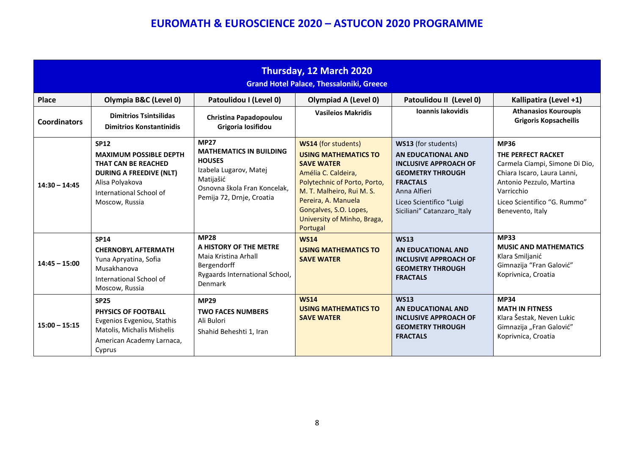| Thursday, 12 March 2020<br><b>Grand Hotel Palace, Thessaloniki, Greece</b> |                                                                                                                                                                       |                                                                                                                                                                    |                                                                                                                                                                                                                                                                |                                                                                                                                                                                                          |                                                                                                                                                                                                  |  |
|----------------------------------------------------------------------------|-----------------------------------------------------------------------------------------------------------------------------------------------------------------------|--------------------------------------------------------------------------------------------------------------------------------------------------------------------|----------------------------------------------------------------------------------------------------------------------------------------------------------------------------------------------------------------------------------------------------------------|----------------------------------------------------------------------------------------------------------------------------------------------------------------------------------------------------------|--------------------------------------------------------------------------------------------------------------------------------------------------------------------------------------------------|--|
| Place                                                                      | Olympia B&C (Level 0)                                                                                                                                                 | Patoulidou I (Level 0)                                                                                                                                             | <b>Olympiad A (Level 0)</b>                                                                                                                                                                                                                                    | Patoulidou II (Level 0)                                                                                                                                                                                  | Kallipatira (Level +1)                                                                                                                                                                           |  |
| <b>Coordinators</b>                                                        | <b>Dimitrios Tsintsilidas</b><br><b>Dimitrios Konstantinidis</b>                                                                                                      | Christina Papadopoulou<br>Grigoria Iosifidou                                                                                                                       | <b>Vasileios Makridis</b>                                                                                                                                                                                                                                      | Ioannis lakovidis                                                                                                                                                                                        | <b>Athanasios Kouroupis</b><br><b>Grigoris Kopsacheilis</b>                                                                                                                                      |  |
| $14:30 - 14:45$                                                            | <b>SP12</b><br><b>MAXIMUM POSSIBLE DEPTH</b><br>THAT CAN BE REACHED<br><b>DURING A FREEDIVE (NLT)</b><br>Alisa Polyakova<br>International School of<br>Moscow, Russia | <b>MP27</b><br><b>MATHEMATICS IN BUILDING</b><br><b>HOUSES</b><br>Izabela Lugarov, Matej<br>Matijašić<br>Osnovna škola Fran Koncelak,<br>Pemija 72, Drnje, Croatia | <b>WS14</b> (for students)<br><b>USING MATHEMATICS TO</b><br><b>SAVE WATER</b><br>Amélia C. Caldeira,<br>Polytechnic of Porto, Porto,<br>M. T. Malheiro, Rui M. S.<br>Pereira, A. Manuela<br>Gonçalves, S.O. Lopes,<br>University of Minho, Braga,<br>Portugal | WS13 (for students)<br><b>AN EDUCATIONAL AND</b><br><b>INCLUSIVE APPROACH OF</b><br><b>GEOMETRY THROUGH</b><br><b>FRACTALS</b><br>Anna Alfieri<br>Liceo Scientifico "Luigi<br>Siciliani" Catanzaro Italy | <b>MP36</b><br>THE PERFECT RACKET<br>Carmela Ciampi, Simone Di Dio,<br>Chiara Iscaro, Laura Lanni,<br>Antonio Pezzulo, Martina<br>Varricchio<br>Liceo Scientifico "G. Rummo"<br>Benevento, Italy |  |
| $14:45 - 15:00$                                                            | <b>SP14</b><br><b>CHERNOBYL AFTERMATH</b><br>Yuna Apryatina, Sofia<br>Musakhanova<br>International School of<br>Moscow, Russia                                        | <b>MP28</b><br>A HISTORY OF THE METRE<br>Maia Kristina Arhall<br>Bergendorff<br>Rygaards International School,<br>Denmark                                          | <b>WS14</b><br><b>USING MATHEMATICS TO</b><br><b>SAVE WATER</b>                                                                                                                                                                                                | <b>WS13</b><br>AN EDUCATIONAL AND<br><b>INCLUSIVE APPROACH OF</b><br><b>GEOMETRY THROUGH</b><br><b>FRACTALS</b>                                                                                          | <b>MP33</b><br><b>MUSIC AND MATHEMATICS</b><br>Klara Smiljanić<br>Gimnazija "Fran Galović"<br>Koprivnica, Croatia                                                                                |  |
| $15:00 - 15:15$                                                            | <b>SP25</b><br>PHYSICS OF FOOTBALL<br>Evgenios Evgeniou, Stathis<br>Matolis, Michalis Mishelis<br>American Academy Larnaca,<br>Cyprus                                 | <b>MP29</b><br><b>TWO FACES NUMBERS</b><br>Ali Bulori<br>Shahid Beheshti 1, Iran                                                                                   | <b>WS14</b><br><b>USING MATHEMATICS TO</b><br><b>SAVE WATER</b>                                                                                                                                                                                                | <b>WS13</b><br>AN EDUCATIONAL AND<br><b>INCLUSIVE APPROACH OF</b><br><b>GEOMETRY THROUGH</b><br><b>FRACTALS</b>                                                                                          | <b>MP34</b><br><b>MATH IN FITNESS</b><br>Klara Šestak, Neven Lukic<br>Gimnazija "Fran Galović"<br>Koprivnica, Croatia                                                                            |  |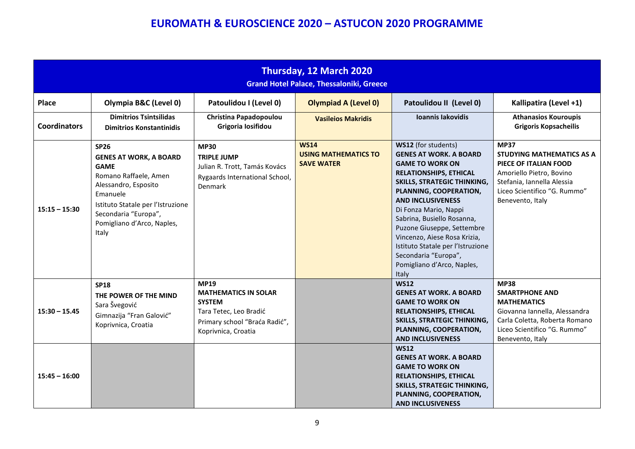| Thursday, 12 March 2020<br><b>Grand Hotel Palace, Thessaloniki, Greece</b> |                                                                                                                                                                                                                              |                                                                                                                                               |                                                                 |                                                                                                                                                                                                                                                                                                                                                                                                                                      |                                                                                                                                                                                        |  |  |
|----------------------------------------------------------------------------|------------------------------------------------------------------------------------------------------------------------------------------------------------------------------------------------------------------------------|-----------------------------------------------------------------------------------------------------------------------------------------------|-----------------------------------------------------------------|--------------------------------------------------------------------------------------------------------------------------------------------------------------------------------------------------------------------------------------------------------------------------------------------------------------------------------------------------------------------------------------------------------------------------------------|----------------------------------------------------------------------------------------------------------------------------------------------------------------------------------------|--|--|
| Place                                                                      | Olympia B&C (Level 0)                                                                                                                                                                                                        | Patoulidou I (Level 0)                                                                                                                        | <b>Olympiad A (Level 0)</b>                                     | Patoulidou II (Level 0)                                                                                                                                                                                                                                                                                                                                                                                                              | Kallipatira (Level +1)                                                                                                                                                                 |  |  |
| <b>Coordinators</b>                                                        | <b>Dimitrios Tsintsilidas</b><br><b>Dimitrios Konstantinidis</b>                                                                                                                                                             | Christina Papadopoulou<br>Grigoria Iosifidou                                                                                                  | <b>Vasileios Makridis</b>                                       | Ioannis lakovidis                                                                                                                                                                                                                                                                                                                                                                                                                    | <b>Athanasios Kouroupis</b><br><b>Grigoris Kopsacheilis</b>                                                                                                                            |  |  |
| $15:15 - 15:30$                                                            | <b>SP26</b><br><b>GENES AT WORK, A BOARD</b><br><b>GAME</b><br>Romano Raffaele, Amen<br>Alessandro, Esposito<br>Emanuele<br>Istituto Statale per l'Istruzione<br>Secondaria "Europa",<br>Pomigliano d'Arco, Naples,<br>Italy | <b>MP30</b><br><b>TRIPLE JUMP</b><br>Julian R. Trott, Tamás Kovács<br>Rygaards International School,<br>Denmark                               | <b>WS14</b><br><b>USING MATHEMATICS TO</b><br><b>SAVE WATER</b> | WS12 (for students)<br><b>GENES AT WORK, A BOARD</b><br><b>GAME TO WORK ON</b><br><b>RELATIONSHIPS, ETHICAL</b><br><b>SKILLS, STRATEGIC THINKING,</b><br>PLANNING, COOPERATION,<br><b>AND INCLUSIVENESS</b><br>Di Fonza Mario, Nappi<br>Sabrina, Busiello Rosanna,<br>Puzone Giuseppe, Settembre<br>Vincenzo, Aiese Rosa Krizia,<br>Istituto Statale per l'Istruzione<br>Secondaria "Europa",<br>Pomigliano d'Arco, Naples,<br>Italy | <b>MP37</b><br><b>STUDYING MATHEMATICS AS A</b><br>PIECE OF ITALIAN FOOD<br>Amoriello Pietro, Bovino<br>Stefania, Iannella Alessia<br>Liceo Scientifico "G. Rummo"<br>Benevento, Italy |  |  |
| $15:30 - 15.45$                                                            | <b>SP18</b><br>THE POWER OF THE MIND<br>Sara Švegović<br>Gimnazija "Fran Galović"<br>Koprivnica, Croatia                                                                                                                     | <b>MP19</b><br><b>MATHEMATICS IN SOLAR</b><br><b>SYSTEM</b><br>Tara Tetec, Leo Bradić<br>Primary school "Braća Radić",<br>Koprivnica, Croatia |                                                                 | <b>WS12</b><br><b>GENES AT WORK, A BOARD</b><br><b>GAME TO WORK ON</b><br><b>RELATIONSHIPS, ETHICAL</b><br><b>SKILLS, STRATEGIC THINKING,</b><br>PLANNING, COOPERATION,<br><b>AND INCLUSIVENESS</b>                                                                                                                                                                                                                                  | <b>MP38</b><br><b>SMARTPHONE AND</b><br><b>MATHEMATICS</b><br>Giovanna Iannella, Alessandra<br>Carla Coletta, Roberta Romano<br>Liceo Scientifico "G. Rummo"<br>Benevento, Italy       |  |  |
| $15:45 - 16:00$                                                            |                                                                                                                                                                                                                              |                                                                                                                                               |                                                                 | <b>WS12</b><br><b>GENES AT WORK. A BOARD</b><br><b>GAME TO WORK ON</b><br><b>RELATIONSHIPS, ETHICAL</b><br><b>SKILLS, STRATEGIC THINKING,</b><br>PLANNING, COOPERATION,<br><b>AND INCLUSIVENESS</b>                                                                                                                                                                                                                                  |                                                                                                                                                                                        |  |  |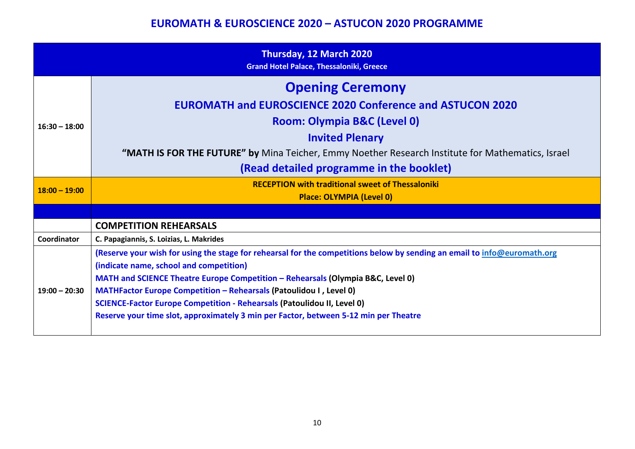|                 | Thursday, 12 March 2020<br><b>Grand Hotel Palace, Thessaloniki, Greece</b>                                               |
|-----------------|--------------------------------------------------------------------------------------------------------------------------|
|                 | <b>Opening Ceremony</b>                                                                                                  |
|                 | <b>EUROMATH and EUROSCIENCE 2020 Conference and ASTUCON 2020</b>                                                         |
| $16:30 - 18:00$ | Room: Olympia B&C (Level 0)                                                                                              |
|                 | <b>Invited Plenary</b>                                                                                                   |
|                 | "MATH IS FOR THE FUTURE" by Mina Teicher, Emmy Noether Research Institute for Mathematics, Israel                        |
|                 | (Read detailed programme in the booklet)                                                                                 |
| $18:00 - 19:00$ | <b>RECEPTION with traditional sweet of Thessaloniki</b>                                                                  |
|                 | <b>Place: OLYMPIA (Level 0)</b>                                                                                          |
|                 |                                                                                                                          |
|                 | <b>COMPETITION REHEARSALS</b>                                                                                            |
| Coordinator     | C. Papagiannis, S. Loizias, L. Makrides                                                                                  |
|                 | (Reserve your wish for using the stage for rehearsal for the competitions below by sending an email to info@euromath.org |
|                 | (indicate name, school and competition)                                                                                  |
|                 | MATH and SCIENCE Theatre Europe Competition - Rehearsals (Olympia B&C, Level 0)                                          |
| $19:00 - 20:30$ | <b>MATHFactor Europe Competition - Rehearsals (Patoulidou I, Level 0)</b>                                                |
|                 | <b>SCIENCE-Factor Europe Competition - Rehearsals (Patoulidou II, Level 0)</b>                                           |
|                 | Reserve your time slot, approximately 3 min per Factor, between 5-12 min per Theatre                                     |
|                 |                                                                                                                          |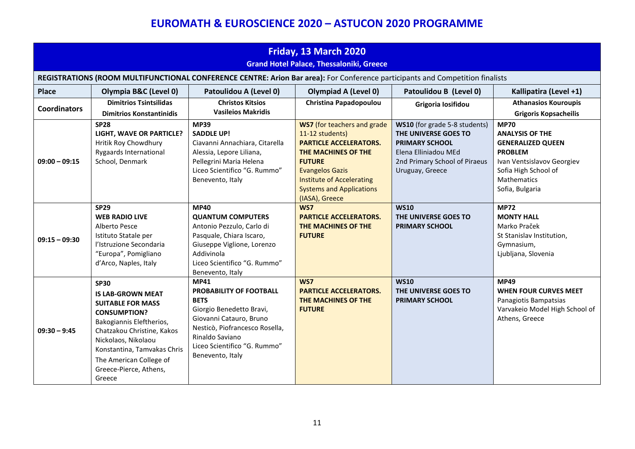| Friday, 13 March 2020<br><b>Grand Hotel Palace, Thessaloniki, Greece</b> |                                                                                                                                                                                                                                                                           |                                                                                                                                                                                                                       |                                                                                                                                                                                                                                            |                                                                                                                                                            |                                                                                                                                                                             |  |
|--------------------------------------------------------------------------|---------------------------------------------------------------------------------------------------------------------------------------------------------------------------------------------------------------------------------------------------------------------------|-----------------------------------------------------------------------------------------------------------------------------------------------------------------------------------------------------------------------|--------------------------------------------------------------------------------------------------------------------------------------------------------------------------------------------------------------------------------------------|------------------------------------------------------------------------------------------------------------------------------------------------------------|-----------------------------------------------------------------------------------------------------------------------------------------------------------------------------|--|
|                                                                          |                                                                                                                                                                                                                                                                           | REGISTRATIONS (ROOM MULTIFUNCTIONAL CONFERENCE CENTRE: Arion Bar area): For Conference participants and Competition finalists                                                                                         |                                                                                                                                                                                                                                            |                                                                                                                                                            |                                                                                                                                                                             |  |
| <b>Place</b>                                                             | Olympia B&C (Level 0)                                                                                                                                                                                                                                                     | Patoulidou A (Level 0)                                                                                                                                                                                                | <b>Olympiad A (Level 0)</b>                                                                                                                                                                                                                | Patoulidou B (Level 0)                                                                                                                                     | Kallipatira (Level +1)                                                                                                                                                      |  |
| <b>Coordinators</b>                                                      | <b>Dimitrios Tsintsilidas</b><br><b>Dimitrios Konstantinidis</b>                                                                                                                                                                                                          | <b>Christos Kitsios</b><br><b>Vasileios Makridis</b>                                                                                                                                                                  | Christina Papadopoulou                                                                                                                                                                                                                     | Grigoria Iosifidou                                                                                                                                         | <b>Athanasios Kouroupis</b><br><b>Grigoris Kopsacheilis</b>                                                                                                                 |  |
| $09:00 - 09:15$                                                          | <b>SP28</b><br>LIGHT, WAVE OR PARTICLE?<br>Hritik Roy Chowdhury<br>Rygaards International<br>School, Denmark                                                                                                                                                              | <b>MP39</b><br><b>SADDLE UP!</b><br>Ciavanni Annachiara, Citarella<br>Alessia, Lepore Liliana,<br>Pellegrini Maria Helena<br>Liceo Scientifico "G. Rummo"<br>Benevento, Italy                                         | WS7 (for teachers and grade<br>11-12 students)<br><b>PARTICLE ACCELERATORS.</b><br>THE MACHINES OF THE<br><b>FUTURE</b><br><b>Evangelos Gazis</b><br><b>Institute of Accelerating</b><br><b>Systems and Applications</b><br>(IASA), Greece | WS10 (for grade 5-8 students)<br>THE UNIVERSE GOES TO<br><b>PRIMARY SCHOOL</b><br>Elena Elliniadou MEd<br>2nd Primary School of Piraeus<br>Uruguay, Greece | <b>MP70</b><br><b>ANALYSIS OF THE</b><br><b>GENERALIZED QUEEN</b><br><b>PROBLEM</b><br>Ivan Ventsislavov Georgiev<br>Sofia High School of<br>Mathematics<br>Sofia, Bulgaria |  |
| $09:15 - 09:30$                                                          | <b>SP29</b><br><b>WEB RADIO LIVE</b><br>Alberto Pesce<br>Istituto Statale per<br>l'Istruzione Secondaria<br>"Europa", Pomigliano<br>d'Arco, Naples, Italy                                                                                                                 | <b>MP40</b><br><b>QUANTUM COMPUTERS</b><br>Antonio Pezzulo, Carlo di<br>Pasquale, Chiara Iscaro,<br>Giuseppe Viglione, Lorenzo<br>Addivinola<br>Liceo Scientifico "G. Rummo"<br>Benevento, Italy                      | WS7<br><b>PARTICLE ACCELERATORS.</b><br>THE MACHINES OF THE<br><b>FUTURE</b>                                                                                                                                                               | <b>WS10</b><br>THE UNIVERSE GOES TO<br><b>PRIMARY SCHOOL</b>                                                                                               | <b>MP72</b><br><b>MONTY HALL</b><br>Marko Praček<br>St Stanislav Institution,<br>Gymnasium,<br>Ljubljana, Slovenia                                                          |  |
| $09:30 - 9:45$                                                           | <b>SP30</b><br><b>IS LAB-GROWN MEAT</b><br><b>SUITABLE FOR MASS</b><br><b>CONSUMPTION?</b><br>Bakogiannis Eleftherios,<br>Chatzakou Christine, Kakos<br>Nickolaos, Nikolaou<br>Konstantina, Tamvakas Chris<br>The American College of<br>Greece-Pierce, Athens,<br>Greece | <b>MP41</b><br>PROBABILITY OF FOOTBALL<br><b>BETS</b><br>Giorgio Benedetto Bravi,<br>Giovanni Catauro, Bruno<br>Nesticò, Piofrancesco Rosella,<br>Rinaldo Saviano<br>Liceo Scientifico "G. Rummo"<br>Benevento, Italy | WS7<br><b>PARTICLE ACCELERATORS.</b><br>THE MACHINES OF THE<br><b>FUTURE</b>                                                                                                                                                               | <b>WS10</b><br>THE UNIVERSE GOES TO<br><b>PRIMARY SCHOOL</b>                                                                                               | <b>MP49</b><br><b>WHEN FOUR CURVES MEET</b><br>Panagiotis Bampatsias<br>Varvakeio Model High School of<br>Athens, Greece                                                    |  |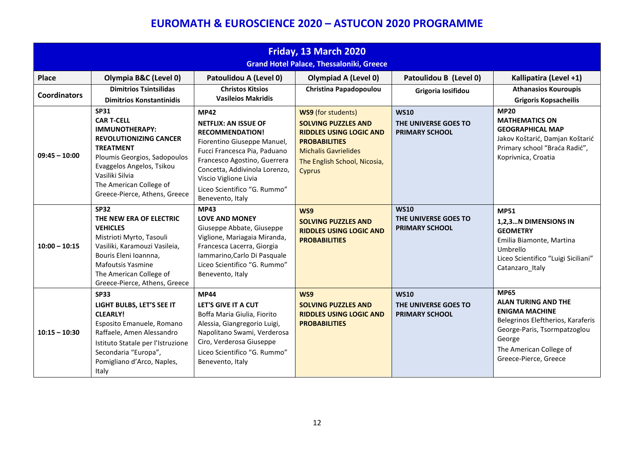| Friday, 13 March 2020<br><b>Grand Hotel Palace, Thessaloniki, Greece</b> |                                                                                                                                                                                                                                                            |                                                                                                                                                                                                                                                                                   |                                                                                                                                                                                                   |                                                              |                                                                                                                                                                                                       |  |
|--------------------------------------------------------------------------|------------------------------------------------------------------------------------------------------------------------------------------------------------------------------------------------------------------------------------------------------------|-----------------------------------------------------------------------------------------------------------------------------------------------------------------------------------------------------------------------------------------------------------------------------------|---------------------------------------------------------------------------------------------------------------------------------------------------------------------------------------------------|--------------------------------------------------------------|-------------------------------------------------------------------------------------------------------------------------------------------------------------------------------------------------------|--|
| Place                                                                    | Olympia B&C (Level 0)                                                                                                                                                                                                                                      | Patoulidou A (Level 0)                                                                                                                                                                                                                                                            | <b>Olympiad A (Level 0)</b>                                                                                                                                                                       | Patoulidou B (Level 0)                                       | Kallipatira (Level +1)                                                                                                                                                                                |  |
| <b>Coordinators</b>                                                      | <b>Dimitrios Tsintsilidas</b><br><b>Dimitrios Konstantinidis</b>                                                                                                                                                                                           | <b>Christos Kitsios</b><br><b>Vasileios Makridis</b>                                                                                                                                                                                                                              | Christina Papadopoulou                                                                                                                                                                            | Grigoria Iosifidou                                           | <b>Athanasios Kouroupis</b><br><b>Grigoris Kopsacheilis</b>                                                                                                                                           |  |
| $09:45 - 10:00$                                                          | <b>SP31</b><br><b>CAR T-CELL</b><br><b>IMMUNOTHERAPY:</b><br><b>REVOLUTIONIZING CANCER</b><br><b>TREATMENT</b><br>Ploumis Georgios, Sadopoulos<br>Evaggelos Angelos, Tsikou<br>Vasiliki Silvia<br>The American College of<br>Greece-Pierce, Athens, Greece | <b>MP42</b><br><b>NETFLIX: AN ISSUE OF</b><br><b>RECOMMENDATION!</b><br>Fiorentino Giuseppe Manuel,<br>Fucci Francesca Pia, Paduano<br>Francesco Agostino, Guerrera<br>Concetta, Addivinola Lorenzo,<br>Viscio Viglione Livia<br>Liceo Scientifico "G. Rummo"<br>Benevento, Italy | <b>WS9</b> (for students)<br><b>SOLVING PUZZLES AND</b><br><b>RIDDLES USING LOGIC AND</b><br><b>PROBABILITIES</b><br><b>Michalis Gavrielides</b><br>The English School, Nicosia,<br><b>Cyprus</b> | <b>WS10</b><br>THE UNIVERSE GOES TO<br><b>PRIMARY SCHOOL</b> | <b>MP20</b><br><b>MATHEMATICS ON</b><br><b>GEOGRAPHICAL MAP</b><br>Jakov Koštarić, Damjan Koštarić<br>Primary school "Braća Radić",<br>Koprivnica, Croatia                                            |  |
| $10:00 - 10:15$                                                          | <b>SP32</b><br>THE NEW ERA OF ELECTRIC<br><b>VEHICLES</b><br>Mistrioti Myrto, Tasouli<br>Vasiliki, Karamouzi Vasileia,<br>Bouris Eleni Ioannna,<br><b>Mafoutsis Yasmine</b><br>The American College of<br>Greece-Pierce, Athens, Greece                    | <b>MP43</b><br><b>LOVE AND MONEY</b><br>Giuseppe Abbate, Giuseppe<br>Viglione, Mariagaia Miranda,<br>Francesca Lacerra, Giorgia<br>Iammarino, Carlo Di Pasquale<br>Liceo Scientifico "G. Rummo"<br>Benevento, Italy                                                               | WS9<br><b>SOLVING PUZZLES AND</b><br><b>RIDDLES USING LOGIC AND</b><br><b>PROBABILITIES</b>                                                                                                       | <b>WS10</b><br>THE UNIVERSE GOES TO<br><b>PRIMARY SCHOOL</b> | <b>MP51</b><br>1,2,3N DIMENSIONS IN<br><b>GEOMETRY</b><br>Emilia Biamonte, Martina<br>Umbrello<br>Liceo Scientifico "Luigi Siciliani"<br>Catanzaro_Italy                                              |  |
| $10:15 - 10:30$                                                          | <b>SP33</b><br>LIGHT BULBS, LET'S SEE IT<br><b>CLEARLY!</b><br>Esposito Emanuele, Romano<br>Raffaele, Amen Alessandro<br>Istituto Statale per l'Istruzione<br>Secondaria "Europa",<br>Pomigliano d'Arco, Naples,<br>Italy                                  | <b>MP44</b><br>LET'S GIVE IT A CUT<br>Boffa Maria Giulia, Fiorito<br>Alessia, Giangregorio Luigi,<br>Napolitano Swami, Verderosa<br>Ciro, Verderosa Giuseppe<br>Liceo Scientifico "G. Rummo"<br>Benevento, Italy                                                                  | WS9<br><b>SOLVING PUZZLES AND</b><br><b>RIDDLES USING LOGIC AND</b><br><b>PROBABILITIES</b>                                                                                                       | <b>WS10</b><br>THE UNIVERSE GOES TO<br><b>PRIMARY SCHOOL</b> | <b>MP65</b><br><b>ALAN TURING AND THE</b><br><b>ENIGMA MACHINE</b><br>Belegrinos Eleftherios, Karaferis<br>George-Paris, Tsormpatzoglou<br>George<br>The American College of<br>Greece-Pierce, Greece |  |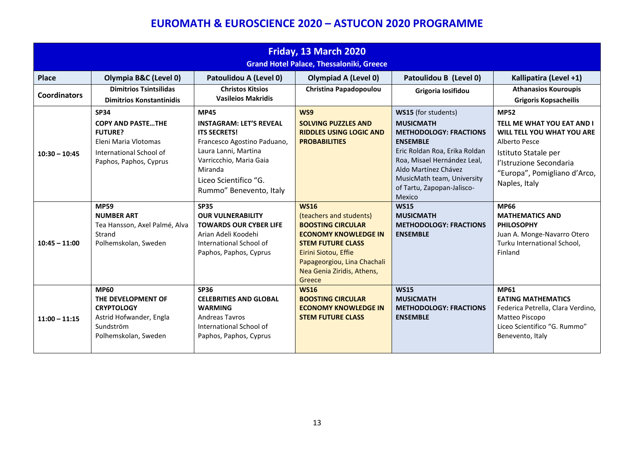| Friday, 13 March 2020<br><b>Grand Hotel Palace, Thessaloniki, Greece</b> |                                                                                                                                        |                                                                                                                                                                                                                       |                                                                                                                                                                                                                              |                                                                                                                                                                                                                                                           |                                                                                                                                                                                              |  |  |
|--------------------------------------------------------------------------|----------------------------------------------------------------------------------------------------------------------------------------|-----------------------------------------------------------------------------------------------------------------------------------------------------------------------------------------------------------------------|------------------------------------------------------------------------------------------------------------------------------------------------------------------------------------------------------------------------------|-----------------------------------------------------------------------------------------------------------------------------------------------------------------------------------------------------------------------------------------------------------|----------------------------------------------------------------------------------------------------------------------------------------------------------------------------------------------|--|--|
| <b>Place</b>                                                             | Olympia B&C (Level 0)                                                                                                                  | Patoulidou A (Level 0)                                                                                                                                                                                                | <b>Olympiad A (Level 0)</b>                                                                                                                                                                                                  | Patoulidou B (Level 0)                                                                                                                                                                                                                                    | Kallipatira (Level +1)                                                                                                                                                                       |  |  |
| <b>Coordinators</b>                                                      | <b>Dimitrios Tsintsilidas</b><br><b>Dimitrios Konstantinidis</b>                                                                       | <b>Christos Kitsios</b><br><b>Vasileios Makridis</b>                                                                                                                                                                  | Christina Papadopoulou                                                                                                                                                                                                       | Grigoria Iosifidou                                                                                                                                                                                                                                        | <b>Athanasios Kouroupis</b><br><b>Grigoris Kopsacheilis</b>                                                                                                                                  |  |  |
| $10:30 - 10:45$                                                          | <b>SP34</b><br><b>COPY AND PASTETHE</b><br><b>FUTURE?</b><br>Eleni Maria Vlotomas<br>International School of<br>Paphos, Paphos, Cyprus | <b>MP45</b><br><b>INSTAGRAM: LET'S REVEAL</b><br><b>ITS SECRETS!</b><br>Francesco Agostino Paduano,<br>Laura Lanni, Martina<br>Varriccchio, Maria Gaia<br>Miranda<br>Liceo Scientifico "G.<br>Rummo" Benevento, Italy | WS9<br><b>SOLVING PUZZLES AND</b><br><b>RIDDLES USING LOGIC AND</b><br><b>PROBABILITIES</b>                                                                                                                                  | WS15 (for students)<br><b>MUSICMATH</b><br><b>METHODOLOGY: FRACTIONS</b><br><b>ENSEMBLE</b><br>Eric Roldan Roa, Erika Roldan<br>Roa, Misael Hernández Leal,<br>Aldo Martínez Chávez<br>MusicMath team, University<br>of Tartu, Zapopan-Jalisco-<br>Mexico | <b>MP52</b><br>TELL ME WHAT YOU EAT AND I<br>WILL TELL YOU WHAT YOU ARE<br>Alberto Pesce<br>Istituto Statale per<br>l'Istruzione Secondaria<br>"Europa", Pomigliano d'Arco,<br>Naples, Italy |  |  |
| $10:45 - 11:00$                                                          | <b>MP59</b><br><b>NUMBER ART</b><br>Tea Hansson, Axel Palmé, Alva<br>Strand<br>Polhemskolan, Sweden                                    | <b>SP35</b><br><b>OUR VULNERABILITY</b><br><b>TOWARDS OUR CYBER LIFE</b><br>Arian Adeli Koodehi<br>International School of<br>Paphos, Paphos, Cyprus                                                                  | <b>WS16</b><br>(teachers and students)<br><b>BOOSTING CIRCULAR</b><br><b>ECONOMY KNOWLEDGE IN</b><br><b>STEM FUTURE CLASS</b><br>Eirini Siotou, Effie<br>Papageorgiou, Lina Chachali<br>Nea Genia Ziridis, Athens,<br>Greece | <b>WS15</b><br><b>MUSICMATH</b><br><b>METHODOLOGY: FRACTIONS</b><br><b>ENSEMBLE</b>                                                                                                                                                                       | <b>MP66</b><br><b>MATHEMATICS AND</b><br><b>PHILOSOPHY</b><br>Juan A. Monge-Navarro Otero<br>Turku International School,<br>Finland                                                          |  |  |
| $11:00 - 11:15$                                                          | <b>MP60</b><br>THE DEVELOPMENT OF<br><b>CRYPTOLOGY</b><br>Astrid Hofwander, Engla<br>Sundström<br>Polhemskolan, Sweden                 | <b>SP36</b><br><b>CELEBRITIES AND GLOBAL</b><br><b>WARMING</b><br><b>Andreas Tayros</b><br>International School of<br>Paphos, Paphos, Cyprus                                                                          | <b>WS16</b><br><b>BOOSTING CIRCULAR</b><br><b>ECONOMY KNOWLEDGE IN</b><br><b>STEM FUTURE CLASS</b>                                                                                                                           | <b>WS15</b><br><b>MUSICMATH</b><br><b>METHODOLOGY: FRACTIONS</b><br><b>ENSEMBLE</b>                                                                                                                                                                       | <b>MP61</b><br><b>EATING MATHEMATICS</b><br>Federica Petrella, Clara Verdino,<br>Matteo Piscopo<br>Liceo Scientifico "G. Rummo"<br>Benevento, Italy                                          |  |  |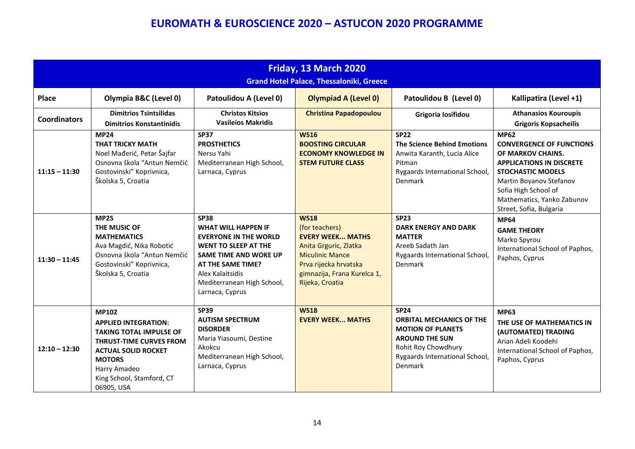|                     | Friday, 13 March 2020<br><b>Grand Hotel Palace, Thessaloniki, Greece</b>                                                                                                                                                  |                                                                                                                                                                                                                                    |                                                                                                                                                                                        |                                                                                                                                                                         |                                                                                                                                                                                                                                                |  |  |  |
|---------------------|---------------------------------------------------------------------------------------------------------------------------------------------------------------------------------------------------------------------------|------------------------------------------------------------------------------------------------------------------------------------------------------------------------------------------------------------------------------------|----------------------------------------------------------------------------------------------------------------------------------------------------------------------------------------|-------------------------------------------------------------------------------------------------------------------------------------------------------------------------|------------------------------------------------------------------------------------------------------------------------------------------------------------------------------------------------------------------------------------------------|--|--|--|
| <b>Place</b>        | Olympia B&C (Level 0)                                                                                                                                                                                                     | Patoulidou A (Level 0)                                                                                                                                                                                                             | <b>Olympiad A (Level 0)</b>                                                                                                                                                            | Patoulidou B (Level 0)                                                                                                                                                  | Kallipatira (Level +1)                                                                                                                                                                                                                         |  |  |  |
| <b>Coordinators</b> | <b>Dimitrios Tsintsilidas</b><br><b>Dimitrios Konstantinidis</b>                                                                                                                                                          | <b>Christos Kitsios</b><br><b>Vasileios Makridis</b>                                                                                                                                                                               | <b>Christina Papadopoulou</b>                                                                                                                                                          | Grigoria Iosifidou                                                                                                                                                      | <b>Athanasios Kouroupis</b><br><b>Grigoris Kopsacheilis</b>                                                                                                                                                                                    |  |  |  |
| $11:15 - 11:30$     | <b>MP24</b><br><b>THAT TRICKY MATH</b><br>Noel Mađerić, Petar Šajfar<br>Osnovna škola "Antun Nemčić<br>Gostovinski" Koprivnica,<br>Školska 5, Croatia                                                                     | <b>SP37</b><br><b>PROSTHETICS</b><br>Nersu Yahi<br>Mediterranean High School,<br>Larnaca, Cyprus                                                                                                                                   | <b>WS16</b><br><b>BOOSTING CIRCULAR</b><br><b>ECONOMY KNOWLEDGE IN</b><br><b>STEM FUTURE CLASS</b>                                                                                     | <b>SP22</b><br><b>The Science Behind Emotions</b><br>Anwita Karanth, Lucia Alice<br>Pitman<br>Rygaards International School,<br>Denmark                                 | <b>MP62</b><br><b>CONVERGENCE OF FUNCTIONS</b><br>OF MARKOV CHAINS.<br><b>APPLICATIONS IN DISCRETE</b><br><b>STOCHASTIC MODELS</b><br>Martin Boyanov Stefanov<br>Sofia High School of<br>Mathematics, Yanko Zabunov<br>Street, Sofia, Bulgaria |  |  |  |
| $11:30 - 11:45$     | <b>MP25</b><br>THE MUSIC OF<br><b>MATHEMATICS</b><br>Ava Magdić, Nika Robotić<br>Osnovna škola "Antun Nemčić<br>Gostovinski" Koprivnica,<br>Školska 5, Croatia                                                            | <b>SP38</b><br><b>WHAT WILL HAPPEN IF</b><br><b>EVERYONE IN THE WORLD</b><br><b>WENT TO SLEEP AT THE</b><br><b>SAME TIME AND WOKE UP</b><br>AT THE SAME TIME?<br>Alex Kalaitsidis<br>Mediterranean High School,<br>Larnaca, Cyprus | <b>WS18</b><br>(for teachers)<br><b>EVERY WEEK MATHS</b><br>Anita Grguric, Zlatka<br><b>Miculinic Mance</b><br>Prva rijecka hrvatska<br>gimnazija, Frana Kurelca 1,<br>Rijeka, Croatia | <b>SP23</b><br><b>DARK ENERGY AND DARK</b><br><b>MATTER</b><br>Areeb Sadath Jan<br>Rygaards International School,<br>Denmark                                            | <b>MP64</b><br><b>GAME THEORY</b><br>Marko Spyrou<br>International School of Paphos,<br>Paphos, Cyprus                                                                                                                                         |  |  |  |
| $12:10 - 12:30$     | <b>MP102</b><br><b>APPLIED INTEGRATION:</b><br><b>TAKING TOTAL IMPULSE OF</b><br><b>THRUST-TIME CURVES FROM</b><br><b>ACTUAL SOLID ROCKET</b><br><b>MOTORS</b><br>Harry Amadeo<br>King School, Stamford, CT<br>06905, USA | <b>SP39</b><br><b>AUTISM SPECTRUM</b><br><b>DISORDER</b><br>Maria Yiasoumi, Destine<br>Akokcu<br>Mediterranean High School,<br>Larnaca, Cyprus                                                                                     | <b>WS18</b><br><b>EVERY WEEK MATHS</b>                                                                                                                                                 | <b>SP24</b><br><b>ORBITAL MECHANICS OF THE</b><br><b>MOTION OF PLANETS</b><br><b>AROUND THE SUN</b><br>Rohit Roy Chowdhury<br>Rygaards International School,<br>Denmark | <b>MP63</b><br>THE USE OF MATHEMATICS IN<br>(AUTOMATED) TRADING<br>Arian Adeli Koodehi<br>International School of Paphos,<br>Paphos, Cyprus                                                                                                    |  |  |  |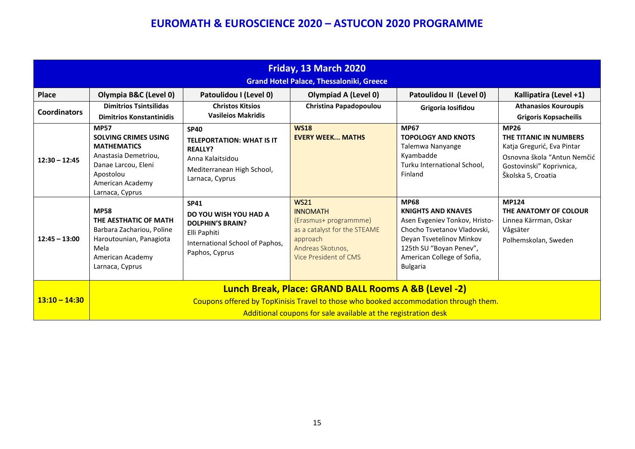| Friday, 13 March 2020<br><b>Grand Hotel Palace, Thessaloniki, Greece</b> |                                                                                                                                                                                                                |                                                                                                                                        |                                                                                                                                                   |                                                                                                                                                                                                                  |                                                                                                                                                      |  |  |
|--------------------------------------------------------------------------|----------------------------------------------------------------------------------------------------------------------------------------------------------------------------------------------------------------|----------------------------------------------------------------------------------------------------------------------------------------|---------------------------------------------------------------------------------------------------------------------------------------------------|------------------------------------------------------------------------------------------------------------------------------------------------------------------------------------------------------------------|------------------------------------------------------------------------------------------------------------------------------------------------------|--|--|
| <b>Place</b>                                                             | Olympia B&C (Level 0)                                                                                                                                                                                          | Patoulidou I (Level 0)                                                                                                                 | <b>Olympiad A (Level 0)</b>                                                                                                                       | Patoulidou II (Level 0)                                                                                                                                                                                          | Kallipatira (Level +1)                                                                                                                               |  |  |
| <b>Coordinators</b>                                                      | <b>Dimitrios Tsintsilidas</b><br><b>Dimitrios Konstantinidis</b>                                                                                                                                               | <b>Christos Kitsios</b><br><b>Vasileios Makridis</b>                                                                                   | <b>Christina Papadopoulou</b>                                                                                                                     | Grigoria Iosifidou                                                                                                                                                                                               | <b>Athanasios Kouroupis</b><br><b>Grigoris Kopsacheilis</b>                                                                                          |  |  |
| $12:30 - 12:45$                                                          | <b>MP57</b><br><b>SOLVING CRIMES USING</b><br><b>MATHEMATICS</b><br>Anastasia Demetriou,<br>Danae Larcou, Eleni<br>Apostolou<br>American Academy<br>Larnaca, Cyprus                                            | <b>SP40</b><br><b>TELEPORTATION: WHAT IS IT</b><br><b>REALLY?</b><br>Anna Kalaitsidou<br>Mediterranean High School,<br>Larnaca, Cyprus | <b>WS18</b><br><b>EVERY WEEK MATHS</b>                                                                                                            | <b>MP67</b><br><b>TOPOLOGY AND KNOTS</b><br>Talemwa Nanyange<br>Kyambadde<br>Turku International School,<br>Finland                                                                                              | <b>MP26</b><br>THE TITANIC IN NUMBERS<br>Katja Gregurić, Eva Pintar<br>Osnovna škola "Antun Nemčić<br>Gostovinski" Koprivnica,<br>Školska 5, Croatia |  |  |
| $12:45 - 13:00$                                                          | <b>MP58</b><br>THE AESTHATIC OF MATH<br>Barbara Zachariou, Poline<br>Haroutounian, Panagiota<br>Mela<br>American Academy<br>Larnaca, Cyprus                                                                    | <b>SP41</b><br>DO YOU WISH YOU HAD A<br><b>DOLPHIN'S BRAIN?</b><br>Elli Paphiti<br>International School of Paphos,<br>Paphos, Cyprus   | <b>WS21</b><br><b>INNOMATH</b><br>(Erasmus+ programmme)<br>as a catalyst for the STEAME<br>approach<br>Andreas Skotinos,<br>Vice President of CMS | <b>MP68</b><br><b>KNIGHTS AND KNAVES</b><br>Asen Evgeniev Tonkov, Hristo-<br>Chocho Tsvetanov Vladovski,<br>Deyan Tsvetelinov Minkov<br>125th SU "Boyan Penev",<br>American College of Sofia,<br><b>Bulgaria</b> | <b>MP124</b><br>THE ANATOMY OF COLOUR<br>Linnea Kärrman, Oskar<br>Vågsäter<br>Polhemskolan, Sweden                                                   |  |  |
| $13:10 - 14:30$                                                          | Lunch Break, Place: GRAND BALL Rooms A &B (Level -2)<br>Coupons offered by TopKinisis Travel to those who booked accommodation through them.<br>Additional coupons for sale available at the registration desk |                                                                                                                                        |                                                                                                                                                   |                                                                                                                                                                                                                  |                                                                                                                                                      |  |  |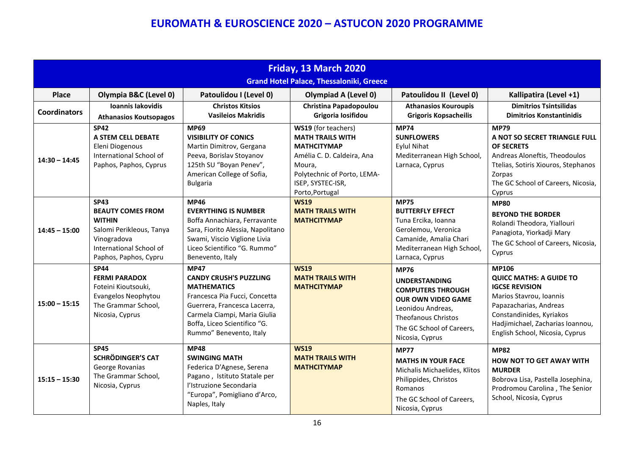| Friday, 13 March 2020<br><b>Grand Hotel Palace, Thessaloniki, Greece</b> |                                                                                                                                                         |                                                                                                                                                                                                                                |                                                                                                                                                                                     |                                                                                                                                                                                          |                                                                                                                                                                                                                                 |
|--------------------------------------------------------------------------|---------------------------------------------------------------------------------------------------------------------------------------------------------|--------------------------------------------------------------------------------------------------------------------------------------------------------------------------------------------------------------------------------|-------------------------------------------------------------------------------------------------------------------------------------------------------------------------------------|------------------------------------------------------------------------------------------------------------------------------------------------------------------------------------------|---------------------------------------------------------------------------------------------------------------------------------------------------------------------------------------------------------------------------------|
| Place                                                                    | Olympia B&C (Level 0)                                                                                                                                   | Patoulidou I (Level 0)                                                                                                                                                                                                         | <b>Olympiad A (Level 0)</b>                                                                                                                                                         | Patoulidou II (Level 0)                                                                                                                                                                  | Kallipatira (Level +1)                                                                                                                                                                                                          |
| <b>Coordinators</b>                                                      | Ioannis lakovidis<br><b>Athanasios Koutsopagos</b>                                                                                                      | <b>Christos Kitsios</b><br><b>Vasileios Makridis</b>                                                                                                                                                                           | Christina Papadopoulou<br>Grigoria Iosifidou                                                                                                                                        | <b>Athanasios Kouroupis</b><br><b>Grigoris Kopsacheilis</b>                                                                                                                              | <b>Dimitrios Tsintsilidas</b><br><b>Dimitrios Konstantinidis</b>                                                                                                                                                                |
| $14:30 - 14:45$                                                          | <b>SP42</b><br>A STEM CELL DEBATE<br>Eleni Diogenous<br>International School of<br>Paphos, Paphos, Cyprus                                               | <b>MP69</b><br><b>VISIBILITY OF CONICS</b><br>Martin Dimitrov, Gergana<br>Peeva, Borislav Stoyanov<br>125th SU "Boyan Penev",<br>American College of Sofia,<br><b>Bulgaria</b>                                                 | WS19 (for teachers)<br><b>MATH TRAILS WITH</b><br><b>MATHCITYMAP</b><br>Amélia C. D. Caldeira, Ana<br>Moura,<br>Polytechnic of Porto, LEMA-<br>ISEP, SYSTEC-ISR,<br>Porto, Portugal | <b>MP74</b><br><b>SUNFLOWERS</b><br><b>Eylul Nihat</b><br>Mediterranean High School,<br>Larnaca, Cyprus                                                                                  | <b>MP79</b><br>A NOT SO SECRET TRIANGLE FULL<br><b>OF SECRETS</b><br>Andreas Aloneftis, Theodoulos<br>Ttelias, Sotiris Xiouros, Stephanos<br>Zorpas<br>The GC School of Careers, Nicosia,<br>Cyprus                             |
| $14:45 - 15:00$                                                          | <b>SP43</b><br><b>BEAUTY COMES FROM</b><br><b>WITHIN</b><br>Salomi Perikleous, Tanya<br>Vinogradova<br>International School of<br>Paphos, Paphos, Cypru | <b>MP46</b><br><b>EVERYTHING IS NUMBER</b><br>Boffa Annachiara, Ferravante<br>Sara, Fiorito Alessia, Napolitano<br>Swami, Viscio Viglione Livia<br>Liceo Scientifico "G. Rummo"<br>Benevento, Italy                            | <b>WS19</b><br><b>MATH TRAILS WITH</b><br><b>MATHCITYMAP</b>                                                                                                                        | <b>MP75</b><br><b>BUTTERFLY EFFECT</b><br>Tuna Ercika, Ioanna<br>Gerolemou, Veronica<br>Camanide, Amalia Chari<br>Mediterranean High School,<br>Larnaca, Cyprus                          | <b>MP80</b><br><b>BEYOND THE BORDER</b><br>Rolandi Theodora, Yiallouri<br>Panagiota, Yiorkadji Mary<br>The GC School of Careers, Nicosia,<br>Cyprus                                                                             |
| $15:00 - 15:15$                                                          | <b>SP44</b><br><b>FERMI PARADOX</b><br>Foteini Kioutsouki,<br>Evangelos Neophytou<br>The Grammar School,<br>Nicosia, Cyprus                             | <b>MP47</b><br><b>CANDY CRUSH'S PUZZLING</b><br><b>MATHEMATICS</b><br>Francesca Pia Fucci, Concetta<br>Guerrera, Francesca Lacerra,<br>Carmela Ciampi, Maria Giulia<br>Boffa, Liceo Scientifico "G.<br>Rummo" Benevento, Italy | <b>WS19</b><br><b>MATH TRAILS WITH</b><br><b>MATHCITYMAP</b>                                                                                                                        | <b>MP76</b><br><b>UNDERSTANDING</b><br><b>COMPUTERS THROUGH</b><br><b>OUR OWN VIDEO GAME</b><br>Leonidou Andreas,<br>Theofanous Christos<br>The GC School of Careers,<br>Nicosia, Cyprus | <b>MP106</b><br><b>QUICC MATHS: A GUIDE TO</b><br><b>IGCSE REVISION</b><br>Marios Stavrou, Ioannis<br>Papazacharias, Andreas<br>Constandinides, Kyriakos<br>Hadjimichael, Zacharias Ioannou,<br>English School, Nicosia, Cyprus |
| $15:15 - 15:30$                                                          | <b>SP45</b><br><b>SCHRÖDINGER'S CAT</b><br>George Rovanias<br>The Grammar School,<br>Nicosia, Cyprus                                                    | <b>MP48</b><br><b>SWINGING MATH</b><br>Federica D'Agnese, Serena<br>Pagano, Istituto Statale per<br>l'Istruzione Secondaria<br>"Europa", Pomigliano d'Arco,<br>Naples, Italy                                                   | <b>WS19</b><br><b>MATH TRAILS WITH</b><br><b>MATHCITYMAP</b>                                                                                                                        | <b>MP77</b><br><b>MATHS IN YOUR FACE</b><br>Michalis Michaelides, Klitos<br>Philippides, Christos<br>Romanos<br>The GC School of Careers,<br>Nicosia, Cyprus                             | <b>MP82</b><br><b>HOW NOT TO GET AWAY WITH</b><br><b>MURDER</b><br>Bobrova Lisa, Pastella Josephina,<br>Prodromou Carolina, The Senior<br>School, Nicosia, Cyprus                                                               |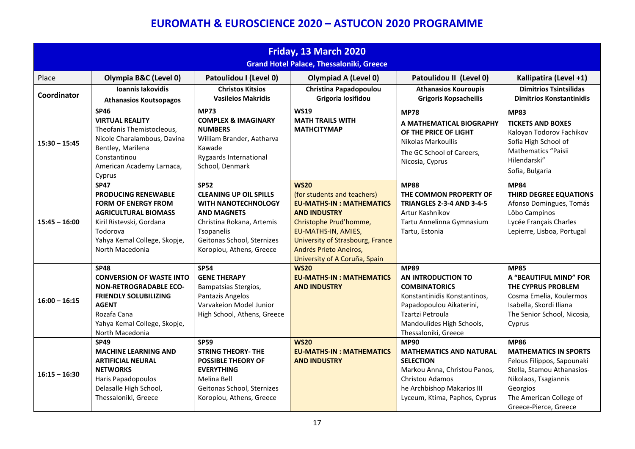| Friday, 13 March 2020<br><b>Grand Hotel Palace, Thessaloniki, Greece</b> |                                                                                                                                                                                                   |                                                                                                                                                                                                       |                                                                                                                                                                                                                                                      |                                                                                                                                                                                                |                                                                                                                                                                                                 |
|--------------------------------------------------------------------------|---------------------------------------------------------------------------------------------------------------------------------------------------------------------------------------------------|-------------------------------------------------------------------------------------------------------------------------------------------------------------------------------------------------------|------------------------------------------------------------------------------------------------------------------------------------------------------------------------------------------------------------------------------------------------------|------------------------------------------------------------------------------------------------------------------------------------------------------------------------------------------------|-------------------------------------------------------------------------------------------------------------------------------------------------------------------------------------------------|
| Place                                                                    | Olympia B&C (Level 0)                                                                                                                                                                             | Patoulidou I (Level 0)                                                                                                                                                                                | Olympiad A (Level 0)                                                                                                                                                                                                                                 | Patoulidou II (Level 0)                                                                                                                                                                        | Kallipatira (Level +1)                                                                                                                                                                          |
| Coordinator                                                              | Ioannis lakovidis<br><b>Athanasios Koutsopagos</b>                                                                                                                                                | <b>Christos Kitsios</b><br><b>Vasileios Makridis</b>                                                                                                                                                  | <b>Christina Papadopoulou</b><br>Grigoria Iosifidou                                                                                                                                                                                                  | <b>Athanasios Kouroupis</b><br><b>Grigoris Kopsacheilis</b>                                                                                                                                    | <b>Dimitrios Tsintsilidas</b><br><b>Dimitrios Konstantinidis</b>                                                                                                                                |
| $15:30 - 15:45$                                                          | <b>SP46</b><br><b>VIRTUAL REALITY</b><br>Theofanis Themistocleous,<br>Nicole Charalambous, Davina<br>Bentley, Marilena<br>Constantinou<br>American Academy Larnaca,<br>Cyprus                     | <b>MP73</b><br><b>COMPLEX &amp; IMAGINARY</b><br><b>NUMBERS</b><br>William Brander, Aatharva<br>Kawade<br>Rygaards International<br>School, Denmark                                                   | <b>WS19</b><br><b>MATH TRAILS WITH</b><br><b>MATHCITYMAP</b>                                                                                                                                                                                         | <b>MP78</b><br>A MATHEMATICAL BIOGRAPHY<br>OF THE PRICE OF LIGHT<br>Nikolas Markoullis<br>The GC School of Careers,<br>Nicosia, Cyprus                                                         | <b>MP83</b><br><b>TICKETS AND BOXES</b><br>Kaloyan Todorov Fachikov<br>Sofia High School of<br><b>Mathematics "Paisii</b><br>Hilendarski"<br>Sofia, Bulgaria                                    |
| $15:45 - 16:00$                                                          | <b>SP47</b><br><b>PRODUCING RENEWABLE</b><br><b>FORM OF ENERGY FROM</b><br><b>AGRICULTURAL BIOMASS</b><br>Kiril Ristevski, Gordana<br>Todorova<br>Yahya Kemal College, Skopje,<br>North Macedonia | <b>SP52</b><br><b>CLEANING UP OIL SPILLS</b><br><b>WITH NANOTECHNOLOGY</b><br><b>AND MAGNETS</b><br>Christina Rokana, Artemis<br>Tsopanelis<br>Geitonas School, Sternizes<br>Koropiou, Athens, Greece | <b>WS20</b><br>(for students and teachers)<br><b>EU-MATHS-IN: MATHEMATICS</b><br><b>AND INDUSTRY</b><br>Christophe Prud'homme,<br>EU-MATHS-IN, AMIES,<br>University of Strasbourg, France<br>Andrés Prieto Aneiros,<br>University of A Coruña, Spain | <b>MP88</b><br>THE COMMON PROPERTY OF<br><b>TRIANGLES 2-3-4 AND 3-4-5</b><br>Artur Kashnikov<br>Tartu Annelinna Gymnasium<br>Tartu, Estonia                                                    | <b>MP84</b><br>THIRD DEGREE EQUATIONS<br>Afonso Domingues, Tomás<br>Lôbo Campinos<br>Lycée Français Charles<br>Lepierre, Lisboa, Portugal                                                       |
| $16:00 - 16:15$                                                          | <b>SP48</b><br><b>CONVERSION OF WASTE INTO</b><br><b>NON-RETROGRADABLE ECO-</b><br><b>FRIENDLY SOLUBILIZING</b><br><b>AGENT</b><br>Rozafa Cana<br>Yahya Kemal College, Skopje,<br>North Macedonia | <b>SP54</b><br><b>GENE THERAPY</b><br>Bampatsias Stergios,<br>Pantazis Angelos<br>Varvakeion Model Junior<br>High School, Athens, Greece                                                              | <b>WS20</b><br><b>EU-MATHS-IN: MATHEMATICS</b><br><b>AND INDUSTRY</b>                                                                                                                                                                                | <b>MP89</b><br>AN INTRODUCTION TO<br><b>COMBINATORICS</b><br>Konstantinidis Konstantinos,<br>Papadopoulou Aikaterini,<br>Tzartzi Petroula<br>Mandoulides High Schools,<br>Thessaloniki, Greece | <b>MP85</b><br>A "BEAUTIFUL MIND" FOR<br>THE CYPRUS PROBLEM<br>Cosma Emelia, Koulermos<br>Isabella, Skordi Iliana<br>The Senior School, Nicosia,<br>Cyprus                                      |
| $16:15 - 16:30$                                                          | <b>SP49</b><br><b>MACHINE LEARNING AND</b><br><b>ARTIFICIAL NEURAL</b><br><b>NETWORKS</b><br>Haris Papadopoulos<br>Delasalle High School,<br>Thessaloniki, Greece                                 | <b>SP59</b><br><b>STRING THEORY- THE</b><br><b>POSSIBLE THEORY OF</b><br><b>EVERYTHING</b><br>Melina Bell<br>Geitonas School, Sternizes<br>Koropiou, Athens, Greece                                   | <b>WS20</b><br><b>EU-MATHS-IN : MATHEMATICS</b><br><b>AND INDUSTRY</b>                                                                                                                                                                               | <b>MP90</b><br><b>MATHEMATICS AND NATURAL</b><br><b>SELECTION</b><br>Markou Anna, Christou Panos,<br>Christou Adamos<br>he Archbishop Makarios III<br>Lyceum, Ktima, Paphos, Cyprus            | <b>MP86</b><br><b>MATHEMATICS IN SPORTS</b><br>Felous Filippos, Sapounaki<br>Stella, Stamou Athanasios-<br>Nikolaos, Tsagiannis<br>Georgios<br>The American College of<br>Greece-Pierce, Greece |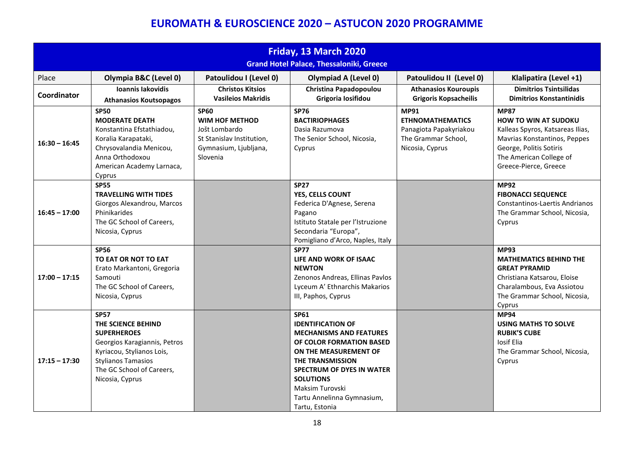| Friday, 13 March 2020<br><b>Grand Hotel Palace, Thessaloniki, Greece</b> |                                                                                                                                                                                                   |                                                                                                                         |                                                                                                                                                                                                                                                                                      |                                                                                                            |                                                                                                                                                                                        |
|--------------------------------------------------------------------------|---------------------------------------------------------------------------------------------------------------------------------------------------------------------------------------------------|-------------------------------------------------------------------------------------------------------------------------|--------------------------------------------------------------------------------------------------------------------------------------------------------------------------------------------------------------------------------------------------------------------------------------|------------------------------------------------------------------------------------------------------------|----------------------------------------------------------------------------------------------------------------------------------------------------------------------------------------|
| Place                                                                    | Olympia B&C (Level 0)                                                                                                                                                                             | Patoulidou I (Level 0)                                                                                                  | <b>Olympiad A (Level 0)</b>                                                                                                                                                                                                                                                          | Patoulidou II (Level 0)                                                                                    | Klalipatira (Level +1)                                                                                                                                                                 |
| Coordinator                                                              | Ioannis lakovidis<br><b>Athanasios Koutsopagos</b>                                                                                                                                                | <b>Christos Kitsios</b><br><b>Vasileios Makridis</b>                                                                    | <b>Christina Papadopoulou</b><br>Grigoria Iosifidou                                                                                                                                                                                                                                  | <b>Athanasios Kouroupis</b><br><b>Grigoris Kopsacheilis</b>                                                | <b>Dimitrios Tsintsilidas</b><br><b>Dimitrios Konstantinidis</b>                                                                                                                       |
| $16:30 - 16:45$                                                          | <b>SP50</b><br><b>MODERATE DEATH</b><br>Konstantina Efstathiadou,<br>Koralia Karapataki,<br>Chrysovalandia Menicou,<br>Anna Orthodoxou<br>American Academy Larnaca,<br>Cyprus                     | <b>SP60</b><br><b>WIM HOF METHOD</b><br>Jošt Lombardo<br>St Stanislav Institution,<br>Gymnasium, Ljubljana,<br>Slovenia | <b>SP76</b><br><b>BACTIRIOPHAGES</b><br>Dasia Razumova<br>The Senior School, Nicosia,<br>Cyprus                                                                                                                                                                                      | <b>MP91</b><br><b>ETHNOMATHEMATICS</b><br>Panagiota Papakyriakou<br>The Grammar School,<br>Nicosia, Cyprus | <b>MP87</b><br>HOW TO WIN AT SUDOKU<br>Kalleas Spyros, Katsareas Ilias,<br>Mavrias Konstantinos, Peppes<br>George, Politis Sotiris<br>The American College of<br>Greece-Pierce, Greece |
| $16:45 - 17:00$                                                          | <b>SP55</b><br><b>TRAVELLING WITH TIDES</b><br>Giorgos Alexandrou, Marcos<br>Phinikarides<br>The GC School of Careers,<br>Nicosia, Cyprus                                                         |                                                                                                                         | <b>SP27</b><br>YES, CELLS COUNT<br>Federica D'Agnese, Serena<br>Pagano<br>Istituto Statale per l'Istruzione<br>Secondaria "Europa",<br>Pomigliano d'Arco, Naples, Italy                                                                                                              |                                                                                                            | <b>MP92</b><br><b>FIBONACCI SEQUENCE</b><br>Constantinos-Laertis Andrianos<br>The Grammar School, Nicosia,<br>Cyprus                                                                   |
| $17:00 - 17:15$                                                          | <b>SP56</b><br>TO EAT OR NOT TO EAT<br>Erato Markantoni, Gregoria<br>Samouti<br>The GC School of Careers,<br>Nicosia, Cyprus                                                                      |                                                                                                                         | <b>SP77</b><br>LIFE AND WORK OF ISAAC<br><b>NEWTON</b><br>Zenonos Andreas, Ellinas Pavlos<br>Lyceum A' Ethnarchis Makarios<br>III, Paphos, Cyprus                                                                                                                                    |                                                                                                            | <b>MP93</b><br><b>MATHEMATICS BEHIND THE</b><br><b>GREAT PYRAMID</b><br>Christiana Katsarou, Eloise<br>Charalambous, Eva Assiotou<br>The Grammar School, Nicosia,<br>Cyprus            |
| $17:15 - 17:30$                                                          | <b>SP57</b><br>THE SCIENCE BEHIND<br><b>SUPERHEROES</b><br>Georgios Karagiannis, Petros<br>Kyriacou, Stylianos Lois,<br><b>Stylianos Tamasios</b><br>The GC School of Careers,<br>Nicosia, Cyprus |                                                                                                                         | <b>SP61</b><br><b>IDENTIFICATION OF</b><br><b>MECHANISMS AND FEATURES</b><br>OF COLOR FORMATION BASED<br>ON THE MEASUREMENT OF<br><b>THE TRANSMISSION</b><br><b>SPECTRUM OF DYES IN WATER</b><br><b>SOLUTIONS</b><br>Maksim Turovski<br>Tartu Annelinna Gymnasium,<br>Tartu, Estonia |                                                                                                            | <b>MP94</b><br><b>USING MATHS TO SOLVE</b><br><b>RUBIK'S CUBE</b><br>losif Elia<br>The Grammar School, Nicosia,<br>Cyprus                                                              |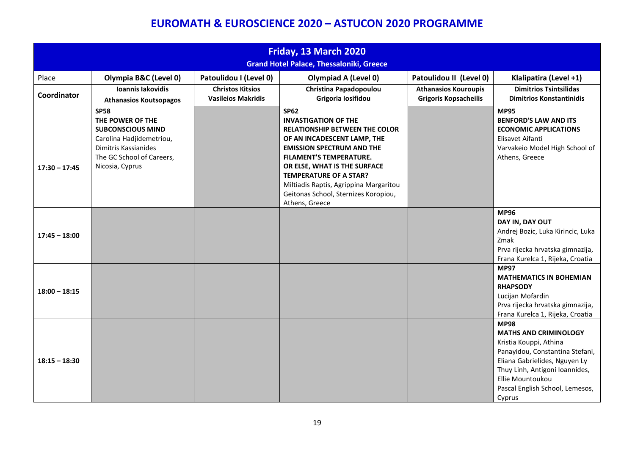|                 |                                                                                                                                                                 |                                                      | Friday, 13 March 2020<br><b>Grand Hotel Palace, Thessaloniki, Greece</b>                                                                                                                                                                                                                                                                                      |                                                             |                                                                                                                                                                                                                                              |
|-----------------|-----------------------------------------------------------------------------------------------------------------------------------------------------------------|------------------------------------------------------|---------------------------------------------------------------------------------------------------------------------------------------------------------------------------------------------------------------------------------------------------------------------------------------------------------------------------------------------------------------|-------------------------------------------------------------|----------------------------------------------------------------------------------------------------------------------------------------------------------------------------------------------------------------------------------------------|
| Place           | Olympia B&C (Level 0)                                                                                                                                           | Patoulidou I (Level 0)                               | <b>Olympiad A (Level 0)</b>                                                                                                                                                                                                                                                                                                                                   | Patoulidou II (Level 0)                                     | Klalipatira (Level +1)                                                                                                                                                                                                                       |
| Coordinator     | Ioannis lakovidis<br><b>Athanasios Koutsopagos</b>                                                                                                              | <b>Christos Kitsios</b><br><b>Vasileios Makridis</b> | Christina Papadopoulou<br>Grigoria Iosifidou                                                                                                                                                                                                                                                                                                                  | <b>Athanasios Kouroupis</b><br><b>Grigoris Kopsacheilis</b> | <b>Dimitrios Tsintsilidas</b><br><b>Dimitrios Konstantinidis</b>                                                                                                                                                                             |
| $17:30 - 17:45$ | <b>SP58</b><br>THE POWER OF THE<br><b>SUBCONSCIOUS MIND</b><br>Carolina Hadjidemetriou,<br>Dimitris Kassianides<br>The GC School of Careers,<br>Nicosia, Cyprus |                                                      | <b>SP62</b><br><b>INVASTIGATION OF THE</b><br><b>RELATIONSHIP BETWEEN THE COLOR</b><br>OF AN INCADESCENT LAMP, THE<br><b>EMISSION SPECTRUM AND THE</b><br><b>FILAMENT'S TEMPERATURE.</b><br>OR ELSE, WHAT IS THE SURFACE<br><b>TEMPERATURE OF A STAR?</b><br>Miltiadis Raptis, Agrippina Margaritou<br>Geitonas School, Sternizes Koropiou,<br>Athens, Greece |                                                             | <b>MP95</b><br><b>BENFORD'S LAW AND ITS</b><br><b>ECONOMIC APPLICATIONS</b><br>Elisavet Aifanti<br>Varvakeio Model High School of<br>Athens, Greece                                                                                          |
| $17:45 - 18:00$ |                                                                                                                                                                 |                                                      |                                                                                                                                                                                                                                                                                                                                                               |                                                             | <b>MP96</b><br>DAY IN, DAY OUT<br>Andrej Bozic, Luka Kirincic, Luka<br>Zmak<br>Prva rijecka hrvatska gimnazija,<br>Frana Kurelca 1, Rijeka, Croatia                                                                                          |
| $18:00 - 18:15$ |                                                                                                                                                                 |                                                      |                                                                                                                                                                                                                                                                                                                                                               |                                                             | <b>MP97</b><br><b>MATHEMATICS IN BOHEMIAN</b><br><b>RHAPSODY</b><br>Lucijan Mofardin<br>Prva rijecka hrvatska gimnazija,<br>Frana Kurelca 1, Rijeka, Croatia                                                                                 |
| $18:15 - 18:30$ |                                                                                                                                                                 |                                                      |                                                                                                                                                                                                                                                                                                                                                               |                                                             | <b>MP98</b><br><b>MATHS AND CRIMINOLOGY</b><br>Kristia Kouppi, Athina<br>Panayidou, Constantina Stefani,<br>Eliana Gabrielides, Nguyen Ly<br>Thuy Linh, Antigoni Ioannides,<br>Ellie Mountoukou<br>Pascal English School, Lemesos,<br>Cyprus |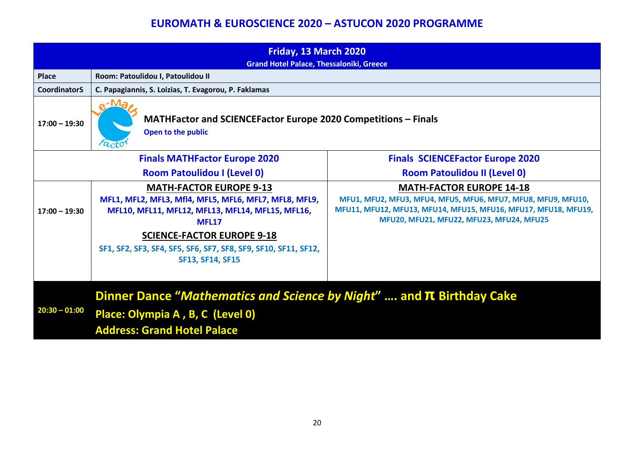|                                                                           | Friday, 13 March 2020<br><b>Grand Hotel Palace, Thessaloniki, Greece</b>                                                                                    |                                                                                                                                                                                                               |
|---------------------------------------------------------------------------|-------------------------------------------------------------------------------------------------------------------------------------------------------------|---------------------------------------------------------------------------------------------------------------------------------------------------------------------------------------------------------------|
| <b>Place</b>                                                              | Room: Patoulidou I, Patoulidou II                                                                                                                           |                                                                                                                                                                                                               |
| <b>CoordinatorS</b>                                                       | C. Papagiannis, S. Loizias, T. Evagorou, P. Faklamas                                                                                                        |                                                                                                                                                                                                               |
| $17:00 - 19:30$                                                           | MATHFactor and SCIENCEFactor Europe 2020 Competitions - Finals<br>Open to the public                                                                        |                                                                                                                                                                                                               |
|                                                                           | <b>Finals MATHFactor Europe 2020</b>                                                                                                                        | <b>Finals SCIENCEFactor Europe 2020</b>                                                                                                                                                                       |
| <b>Room Patoulidou I (Level 0)</b><br><b>Room Patoulidou II (Level 0)</b> |                                                                                                                                                             |                                                                                                                                                                                                               |
| $17:00 - 19:30$                                                           | <b>MATH-FACTOR EUROPE 9-13</b><br>MFL1, MFL2, MFL3, Mfl4, MFL5, MFL6, MFL7, MFL8, MFL9,<br>MFL10, MFL11, MFL12, MFL13, MFL14, MFL15, MFL16,<br><b>MFL17</b> | <b>MATH-FACTOR EUROPE 14-18</b><br>MFU1, MFU2, MFU3, MFU4, MFU5, MFU6, MFU7, MFU8, MFU9, MFU10,<br>MFU11, MFU12, MFU13, MFU14, MFU15, MFU16, MFU17, MFU18, MFU19,<br>MFU20, MFU21, MFU22, MFU23, MFU24, MFU25 |
|                                                                           | <b>SCIENCE-FACTOR EUROPE 9-18</b><br>SF1, SF2, SF3, SF4, SF5, SF6, SF7, SF8, SF9, SF10, SF11, SF12,<br><b>SF13, SF14, SF15</b>                              |                                                                                                                                                                                                               |
| $20:30 - 01:00$                                                           | <b>Dinner Dance "Mathematics and Science by Night"  and TL Birthday Cake</b><br>Place: Olympia A, B, C (Level 0)<br><b>Address: Grand Hotel Palace</b>      |                                                                                                                                                                                                               |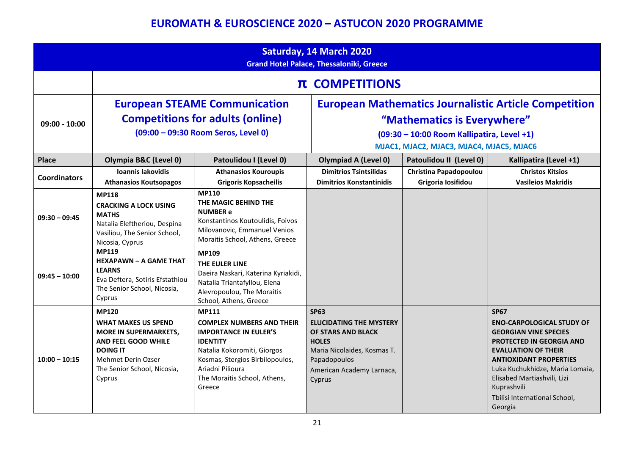|                     | Saturday, 14 March 2020<br><b>Grand Hotel Palace, Thessaloniki, Greece</b>                                                                                                                 |                                                                                                                                                                                                                                     |                                                                                                                                                                           |                                                                                                                       |                                                                                                                                                                                                                                                                                                                |
|---------------------|--------------------------------------------------------------------------------------------------------------------------------------------------------------------------------------------|-------------------------------------------------------------------------------------------------------------------------------------------------------------------------------------------------------------------------------------|---------------------------------------------------------------------------------------------------------------------------------------------------------------------------|-----------------------------------------------------------------------------------------------------------------------|----------------------------------------------------------------------------------------------------------------------------------------------------------------------------------------------------------------------------------------------------------------------------------------------------------------|
|                     |                                                                                                                                                                                            |                                                                                                                                                                                                                                     | π COMPETITIONS                                                                                                                                                            |                                                                                                                       |                                                                                                                                                                                                                                                                                                                |
| $09:00 - 10:00$     | <b>European STEAME Communication</b><br><b>Competitions for adults (online)</b><br>(09:00 - 09:30 Room Seros, Level 0)                                                                     |                                                                                                                                                                                                                                     |                                                                                                                                                                           | "Mathematics is Everywhere"<br>(09:30 - 10:00 Room Kallipatira, Level +1)<br>MJAC1, MJAC2, MJAC3, MJAC4, MJAC5, MJAC6 | <b>European Mathematics Journalistic Article Competition</b>                                                                                                                                                                                                                                                   |
| Place               | Olympia B&C (Level 0)                                                                                                                                                                      | Patoulidou I (Level 0)                                                                                                                                                                                                              | <b>Olympiad A (Level 0)</b>                                                                                                                                               | Patoulidou II (Level 0)                                                                                               | Kallipatira (Level +1)                                                                                                                                                                                                                                                                                         |
| <b>Coordinators</b> | Ioannis Iakovidis<br><b>Athanasios Koutsopagos</b>                                                                                                                                         | <b>Athanasios Kouroupis</b><br><b>Grigoris Kopsacheilis</b>                                                                                                                                                                         | <b>Dimitrios Tsintsilidas</b><br><b>Dimitrios Konstantinidis</b>                                                                                                          | Christina Papadopoulou<br>Grigoria losifidou                                                                          | <b>Christos Kitsios</b><br><b>Vasileios Makridis</b>                                                                                                                                                                                                                                                           |
| $09:30 - 09:45$     | <b>MP118</b><br><b>CRACKING A LOCK USING</b><br><b>MATHS</b><br>Natalia Eleftheriou, Despina<br>Vasiliou, The Senior School,<br>Nicosia, Cyprus                                            | MP110<br>THE MAGIC BEHIND THE<br><b>NUMBER e</b><br>Konstantinos Koutoulidis, Foivos<br>Milovanovic, Emmanuel Venios<br>Moraitis School, Athens, Greece                                                                             |                                                                                                                                                                           |                                                                                                                       |                                                                                                                                                                                                                                                                                                                |
| $09:45 - 10:00$     | <b>MP119</b><br><b>HEXAPAWN - A GAME THAT</b><br><b>LEARNS</b><br>Eva Deftera, Sotiris Efstathiou<br>The Senior School, Nicosia,<br>Cyprus                                                 | MP109<br>THE EULER LINE<br>Daeira Naskari, Katerina Kyriakidi,<br>Natalia Triantafyllou, Elena<br>Alevropoulou, The Moraitis<br>School, Athens, Greece                                                                              |                                                                                                                                                                           |                                                                                                                       |                                                                                                                                                                                                                                                                                                                |
| $10:00 - 10:15$     | <b>MP120</b><br><b>WHAT MAKES US SPEND</b><br><b>MORE IN SUPERMARKETS,</b><br><b>AND FEEL GOOD WHILE</b><br><b>DOING IT</b><br>Mehmet Derin Ozser<br>The Senior School, Nicosia,<br>Cyprus | <b>MP111</b><br><b>COMPLEX NUMBERS AND THEIR</b><br><b>IMPORTANCE IN EULER'S</b><br><b>IDENTITY</b><br>Natalia Kokoromiti, Giorgos<br>Kosmas, Stergios Birbilopoulos,<br>Ariadni Pilioura<br>The Moraitis School, Athens,<br>Greece | <b>SP63</b><br><b>ELUCIDATING THE MYSTERY</b><br>OF STARS AND BLACK<br><b>HOLES</b><br>Maria Nicolaides, Kosmas T.<br>Papadopoulos<br>American Academy Larnaca,<br>Cyprus |                                                                                                                       | <b>SP67</b><br><b>ENO-CARPOLOGICAL STUDY OF</b><br><b>GEORGIAN VINE SPECIES</b><br><b>PROTECTED IN GEORGIA AND</b><br><b>EVALUATION OF THEIR</b><br><b>ANTIOXIDANT PROPERTIES</b><br>Luka Kuchukhidze, Maria Lomaia,<br>Elisabed Martiashvili, Lizi<br>Kuprashvili<br>Tbilisi International School,<br>Georgia |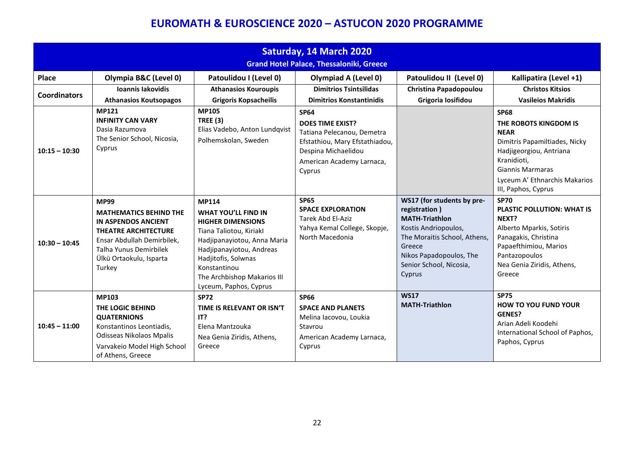|                     | Saturday, 14 March 2020<br><b>Grand Hotel Palace, Thessaloniki, Greece</b>                                                                                                                             |                                                                                                                                                                                                                                                              |                                                                                                                                                                      |                                                                                                                                                                                                        |                                                                                                                                                                                                                   |
|---------------------|--------------------------------------------------------------------------------------------------------------------------------------------------------------------------------------------------------|--------------------------------------------------------------------------------------------------------------------------------------------------------------------------------------------------------------------------------------------------------------|----------------------------------------------------------------------------------------------------------------------------------------------------------------------|--------------------------------------------------------------------------------------------------------------------------------------------------------------------------------------------------------|-------------------------------------------------------------------------------------------------------------------------------------------------------------------------------------------------------------------|
| <b>Place</b>        | Olympia B&C (Level 0)                                                                                                                                                                                  | Patoulidou I (Level 0)                                                                                                                                                                                                                                       | <b>Olympiad A (Level 0)</b>                                                                                                                                          | Patoulidou II (Level 0)                                                                                                                                                                                | Kallipatira (Level +1)                                                                                                                                                                                            |
| <b>Coordinators</b> | Ioannis lakovidis<br><b>Athanasios Koutsopagos</b>                                                                                                                                                     | <b>Athanasios Kouroupis</b><br><b>Grigoris Kopsacheilis</b>                                                                                                                                                                                                  | <b>Dimitrios Tsintsilidas</b><br><b>Dimitrios Konstantinidis</b>                                                                                                     | <b>Christina Papadopoulou</b><br>Grigoria Iosifidou                                                                                                                                                    | <b>Christos Kitsios</b><br><b>Vasileios Makridis</b>                                                                                                                                                              |
| $10:15 - 10:30$     | <b>MP121</b><br><b>INFINITY CAN VARY</b><br>Dasia Razumova<br>The Senior School, Nicosia,<br>Cyprus                                                                                                    | <b>MP105</b><br><b>TREE (3)</b><br>Elias Vadebo, Anton Lundqvist<br>Polhemskolan, Sweden                                                                                                                                                                     | <b>SP64</b><br><b>DOES TIME EXIST?</b><br>Tatiana Pelecanou, Demetra<br>Efstathiou, Mary Efstathiadou,<br>Despina Michaelidou<br>American Academy Larnaca,<br>Cyprus |                                                                                                                                                                                                        | <b>SP68</b><br>THE ROBOTS KINGDOM IS<br><b>NEAR</b><br>Dimitris Papamiltiades, Nicky<br>Hadjigeorgiou, Antriana<br>Kranidioti,<br><b>Giannis Marmaras</b><br>Lyceum A' Ethnarchis Makarios<br>III, Paphos, Cyprus |
| $10:30 - 10:45$     | <b>MP99</b><br><b>MATHEMATICS BEHIND THE</b><br><b>IN ASPENDOS ANCIENT</b><br><b>THEATRE ARCHITECTURE</b><br>Ensar Abdullah Demirbilek,<br>Talha Yunus Demirbilek<br>Ülkü Ortaokulu, Isparta<br>Turkey | <b>MP114</b><br><b>WHAT YOU'LL FIND IN</b><br><b>HIGHER DIMENSIONS</b><br>Tiana Taliotou, Kiriakl<br>Hadjipanayiotou, Anna Maria<br>Hadjipanayiotou, Andreas<br>Hadjitofis, Solwnas<br>Konstantinou<br>The Archbishop Makarios III<br>Lyceum, Paphos, Cyprus | <b>SP65</b><br><b>SPACE EXPLORATION</b><br>Tarek Abd El-Aziz<br>Yahya Kemal College, Skopje,<br>North Macedonia                                                      | WS17 (for students by pre-<br>registration)<br><b>MATH-Triathlon</b><br>Kostis Andriopoulos,<br>The Moraitis School, Athens,<br>Greece<br>Nikos Papadopoulos, The<br>Senior School, Nicosia,<br>Cyprus | <b>SP70</b><br><b>PLASTIC POLLUTION: WHAT IS</b><br>NEXT?<br>Alberto Mparkis, Sotiris<br>Panagakis, Christina<br>Papaefthimiou, Marios<br>Pantazopoulos<br>Nea Genia Ziridis, Athens,<br>Greece                   |
| $10:45 - 11:00$     | <b>MP103</b><br>THE LOGIC BEHIND<br><b>QUATERNIONS</b><br>Konstantinos Leontiadis,<br>Odisseas Nikolaos Mpalis<br>Varvakeio Model High School<br>of Athens, Greece                                     | <b>SP72</b><br>TIME IS RELEVANT OR ISN'T<br>IT?<br>Elena Mantzouka<br>Nea Genia Ziridis, Athens,<br>Greece                                                                                                                                                   | <b>SP66</b><br><b>SPACE AND PLANETS</b><br>Melina Iacovou, Loukia<br>Stavrou<br>American Academy Larnaca,<br>Cyprus                                                  | <b>WS17</b><br><b>MATH-Triathlon</b>                                                                                                                                                                   | <b>SP75</b><br><b>HOW TO YOU FUND YOUR</b><br>GENES?<br>Arian Adeli Koodehi<br>International School of Paphos,<br>Paphos, Cyprus                                                                                  |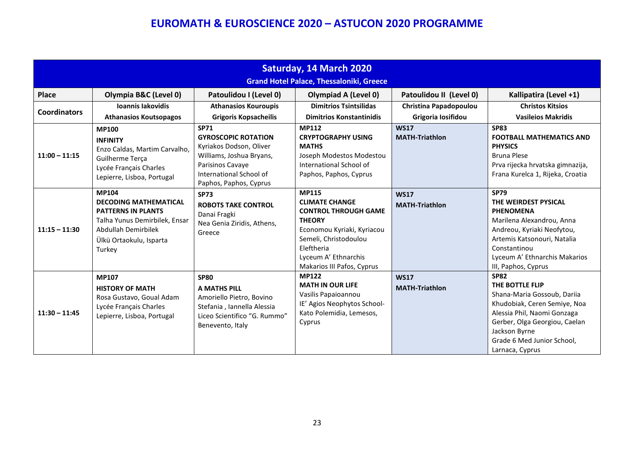|                     | Saturday, 14 March 2020<br><b>Grand Hotel Palace, Thessaloniki, Greece</b>                                                                                             |                                                                                                                                                                           |                                                                                                                                                                                                                  |                                                     |                                                                                                                                                                                                                                 |
|---------------------|------------------------------------------------------------------------------------------------------------------------------------------------------------------------|---------------------------------------------------------------------------------------------------------------------------------------------------------------------------|------------------------------------------------------------------------------------------------------------------------------------------------------------------------------------------------------------------|-----------------------------------------------------|---------------------------------------------------------------------------------------------------------------------------------------------------------------------------------------------------------------------------------|
| Place               | Olympia B&C (Level 0)                                                                                                                                                  | Patoulidou I (Level 0)                                                                                                                                                    | <b>Olympiad A (Level 0)</b>                                                                                                                                                                                      | Patoulidou II (Level 0)                             | Kallipatira (Level +1)                                                                                                                                                                                                          |
| <b>Coordinators</b> | Ioannis Iakovidis<br><b>Athanasios Koutsopagos</b>                                                                                                                     | <b>Athanasios Kouroupis</b><br><b>Grigoris Kopsacheilis</b>                                                                                                               | <b>Dimitrios Tsintsilidas</b><br><b>Dimitrios Konstantinidis</b>                                                                                                                                                 | <b>Christina Papadopoulou</b><br>Grigoria Iosifidou | <b>Christos Kitsios</b><br><b>Vasileios Makridis</b>                                                                                                                                                                            |
| $11:00 - 11:15$     | <b>MP100</b><br><b>INFINITY</b><br>Enzo Caldas, Martim Carvalho,<br>Guilherme Terça<br>Lycée Français Charles<br>Lepierre, Lisboa, Portugal                            | <b>SP71</b><br><b>GYROSCOPIC ROTATION</b><br>Kyriakos Dodson, Oliver<br>Williams, Joshua Bryans,<br>Parisinos Cavaye<br>International School of<br>Paphos, Paphos, Cyprus | <b>MP112</b><br><b>CRYPTOGRAPHY USING</b><br><b>MATHS</b><br>Joseph Modestos Modestou<br>International School of<br>Paphos, Paphos, Cyprus                                                                       | <b>WS17</b><br><b>MATH-Triathlon</b>                | <b>SP83</b><br><b>FOOTBALL MATHEMATICS AND</b><br><b>PHYSICS</b><br><b>Bruna Plese</b><br>Prva rijecka hrvatska gimnazija,<br>Frana Kurelca 1, Rijeka, Croatia                                                                  |
| $11:15 - 11:30$     | <b>MP104</b><br><b>DECODING MATHEMATICAL</b><br><b>PATTERNS IN PLANTS</b><br>Talha Yunus Demirbilek, Ensar<br>Abdullah Demirbilek<br>Ülkü Ortaokulu, Isparta<br>Turkey | <b>SP73</b><br><b>ROBOTS TAKE CONTROL</b><br>Danai Fragki<br>Nea Genia Ziridis, Athens,<br>Greece                                                                         | <b>MP115</b><br><b>CLIMATE CHANGE</b><br><b>CONTROL THROUGH GAME</b><br><b>THEORY</b><br>Economou Kyriaki, Kyriacou<br>Semeli, Christodoulou<br>Eleftheria<br>Lyceum A' Ethnarchis<br>Makarios III Pafos, Cyprus | <b>WS17</b><br><b>MATH-Triathlon</b>                | <b>SP79</b><br>THE WEIRDEST PYSICAL<br><b>PHENOMENA</b><br>Marilena Alexandrou, Anna<br>Andreou, Kyriaki Neofytou,<br>Artemis Katsonouri, Natalia<br>Constantinou<br>Lyceum A' Ethnarchis Makarios<br>III, Paphos, Cyprus       |
| $11:30 - 11:45$     | <b>MP107</b><br><b>HISTORY OF MATH</b><br>Rosa Gustavo, Goual Adam<br>Lycée Français Charles<br>Lepierre, Lisboa, Portugal                                             | <b>SP80</b><br>A MATHS PILL<br>Amoriello Pietro, Bovino<br>Stefania, Iannella Alessia<br>Liceo Scientifico "G. Rummo"<br>Benevento, Italy                                 | <b>MP122</b><br><b>MATH IN OUR LIFE</b><br>Vasilis Papaioannou<br>IE' Agios Neophytos School-<br>Kato Polemidia, Lemesos,<br>Cyprus                                                                              | <b>WS17</b><br><b>MATH-Triathlon</b>                | <b>SP82</b><br>THE BOTTLE FLIP<br>Shana-Maria Gossoub, Dariia<br>Khudobiak, Ceren Semiye, Noa<br>Alessia Phil, Naomi Gonzaga<br>Gerber, Olga Georgiou, Caelan<br>Jackson Byrne<br>Grade 6 Med Junior School,<br>Larnaca, Cyprus |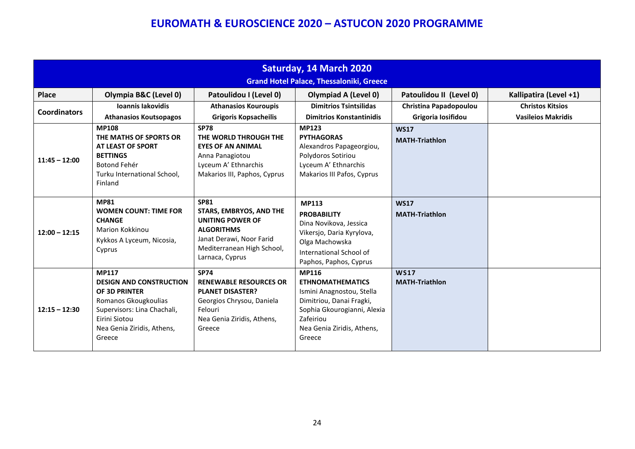|                     | Saturday, 14 March 2020<br><b>Grand Hotel Palace, Thessaloniki, Greece</b>                                                                                                      |                                                                                                                                                                     |                                                                                                                                                                                      |                                                     |                                                      |
|---------------------|---------------------------------------------------------------------------------------------------------------------------------------------------------------------------------|---------------------------------------------------------------------------------------------------------------------------------------------------------------------|--------------------------------------------------------------------------------------------------------------------------------------------------------------------------------------|-----------------------------------------------------|------------------------------------------------------|
| <b>Place</b>        | Olympia B&C (Level 0)                                                                                                                                                           | Patoulidou I (Level 0)                                                                                                                                              | <b>Olympiad A (Level 0)</b>                                                                                                                                                          | Patoulidou II (Level 0)                             | Kallipatira (Level +1)                               |
| <b>Coordinators</b> | Ioannis Iakovidis<br><b>Athanasios Koutsopagos</b>                                                                                                                              | <b>Athanasios Kouroupis</b><br><b>Grigoris Kopsacheilis</b>                                                                                                         | <b>Dimitrios Tsintsilidas</b><br><b>Dimitrios Konstantinidis</b>                                                                                                                     | <b>Christina Papadopoulou</b><br>Grigoria Iosifidou | <b>Christos Kitsios</b><br><b>Vasileios Makridis</b> |
| $11:45 - 12:00$     | <b>MP108</b><br>THE MATHS OF SPORTS OR<br>AT LEAST OF SPORT<br><b>BETTINGS</b><br>Botond Fehér<br>Turku International School,<br>Finland                                        | <b>SP78</b><br>THE WORLD THROUGH THE<br><b>EYES OF AN ANIMAL</b><br>Anna Panagiotou<br>Lyceum A' Ethnarchis<br>Makarios III, Paphos, Cyprus                         | <b>MP123</b><br><b>PYTHAGORAS</b><br>Alexandros Papageorgiou,<br>Polydoros Sotiriou<br>Lyceum A' Ethnarchis<br>Makarios III Pafos, Cyprus                                            | <b>WS17</b><br><b>MATH-Triathlon</b>                |                                                      |
| $12:00 - 12:15$     | <b>MP81</b><br><b>WOMEN COUNT: TIME FOR</b><br><b>CHANGE</b><br><b>Marion Kokkinou</b><br>Kykkos A Lyceum, Nicosia,<br>Cyprus                                                   | <b>SP81</b><br><b>STARS, EMBRYOS, AND THE</b><br>UNITING POWER OF<br><b>ALGORITHMS</b><br>Janat Derawi, Noor Farid<br>Mediterranean High School,<br>Larnaca, Cyprus | <b>MP113</b><br><b>PROBABILITY</b><br>Dina Novikova, Jessica<br>Vikersjo, Daria Kyrylova,<br>Olga Machowska<br>International School of<br>Paphos, Paphos, Cyprus                     | <b>WS17</b><br><b>MATH-Triathlon</b>                |                                                      |
| $12:15 - 12:30$     | <b>MP117</b><br><b>DESIGN AND CONSTRUCTION</b><br>OF 3D PRINTER<br>Romanos Gkougkoulias<br>Supervisors: Lina Chachali,<br>Eirini Siotou<br>Nea Genia Ziridis, Athens,<br>Greece | <b>SP74</b><br><b>RENEWABLE RESOURCES OR</b><br><b>PLANET DISASTER?</b><br>Georgios Chrysou, Daniela<br>Felouri<br>Nea Genia Ziridis, Athens,<br>Greece             | <b>MP116</b><br><b>ETHNOMATHEMATICS</b><br>Ismini Anagnostou, Stella<br>Dimitriou, Danai Fragki,<br>Sophia Gkourogianni, Alexia<br>Zafeiriou<br>Nea Genia Ziridis, Athens,<br>Greece | <b>WS17</b><br><b>MATH-Triathlon</b>                |                                                      |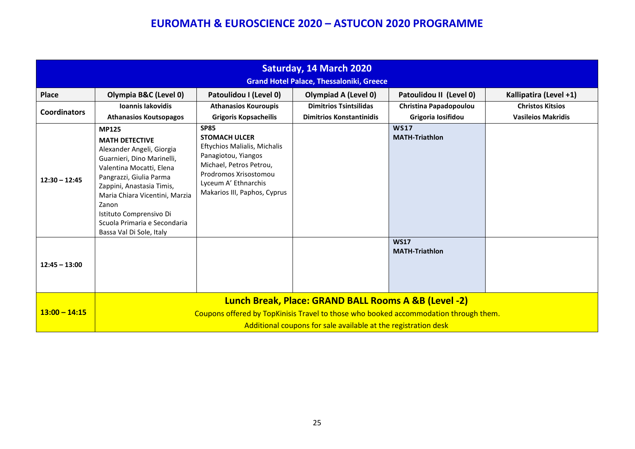|                     |                                                                                                                                                                                                                                                                                                                        |                                                                                                                                                                                                        | Saturday, 14 March 2020<br><b>Grand Hotel Palace, Thessaloniki, Greece</b> |                                                     |                                                      |
|---------------------|------------------------------------------------------------------------------------------------------------------------------------------------------------------------------------------------------------------------------------------------------------------------------------------------------------------------|--------------------------------------------------------------------------------------------------------------------------------------------------------------------------------------------------------|----------------------------------------------------------------------------|-----------------------------------------------------|------------------------------------------------------|
| <b>Place</b>        | Olympia B&C (Level 0)                                                                                                                                                                                                                                                                                                  | Patoulidou I (Level 0)                                                                                                                                                                                 | <b>Olympiad A (Level 0)</b>                                                | Patoulidou II (Level 0)                             | Kallipatira (Level +1)                               |
| <b>Coordinators</b> | Ioannis Iakovidis<br><b>Athanasios Koutsopagos</b>                                                                                                                                                                                                                                                                     | <b>Athanasios Kouroupis</b><br><b>Grigoris Kopsacheilis</b>                                                                                                                                            | <b>Dimitrios Tsintsilidas</b><br><b>Dimitrios Konstantinidis</b>           | <b>Christina Papadopoulou</b><br>Grigoria losifidou | <b>Christos Kitsios</b><br><b>Vasileios Makridis</b> |
| $12:30 - 12:45$     | <b>MP125</b><br><b>MATH DETECTIVE</b><br>Alexander Angeli, Giorgia<br>Guarnieri, Dino Marinelli,<br>Valentina Mocatti, Elena<br>Pangrazzi, Giulia Parma<br>Zappini, Anastasia Timis,<br>Maria Chiara Vicentini, Marzia<br>Zanon<br>Istituto Comprensivo Di<br>Scuola Primaria e Secondaria<br>Bassa Val Di Sole, Italy | <b>SP85</b><br><b>STOMACH ULCER</b><br>Eftychios Malialis, Michalis<br>Panagiotou, Yiangos<br>Michael, Petros Petrou,<br>Prodromos Xrisostomou<br>Lyceum A' Ethnarchis<br>Makarios III, Paphos, Cyprus |                                                                            | <b>WS17</b><br><b>MATH-Triathlon</b>                |                                                      |
| $12:45 - 13:00$     |                                                                                                                                                                                                                                                                                                                        |                                                                                                                                                                                                        |                                                                            | <b>WS17</b><br><b>MATH-Triathlon</b>                |                                                      |
| $13:00 - 14:15$     | Lunch Break, Place: GRAND BALL Rooms A &B (Level -2)<br>Coupons offered by TopKinisis Travel to those who booked accommodation through them.<br>Additional coupons for sale available at the registration desk                                                                                                         |                                                                                                                                                                                                        |                                                                            |                                                     |                                                      |